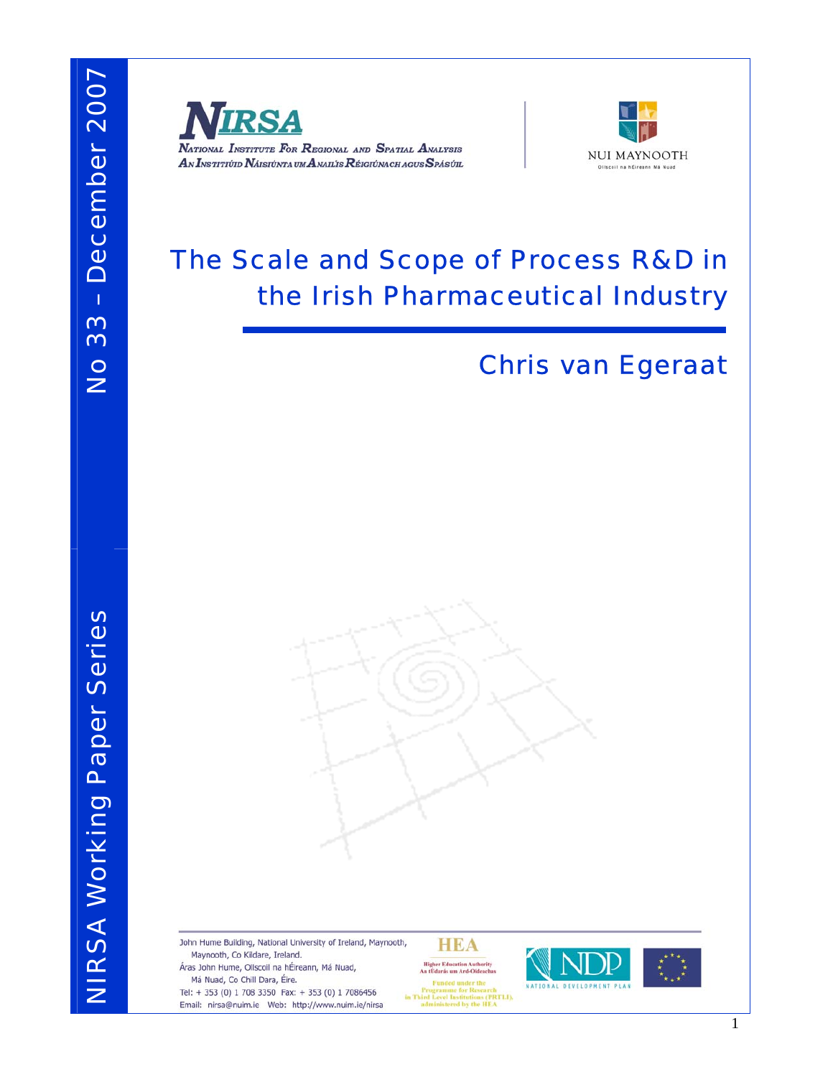



# The Scale and Scope of Process R&D in the Irish Pharmaceutical Industry

## Chris van Egeraat

John Hume Building, National University of Ireland, Maynooth, **HEA** Maynooth, Co Kildare, Ireland. Áras John Hume, Ollscoil na hÉireann, Má Nuad, **Higher Education Authority<br>An tÚdarás um Ard-Oideachas** Má Nuad, Co Chill Dara, Éire. Funded a Programme for Research<br>in Third Level Institutions (PRTLI),<br>administered by the HEA Tel: + 353 (0) 1 708 3350 Fax: + 353 (0) 1 7086456 Email: nirsa@nuim.ie Web: http://www.nuim.ie/nirsa

1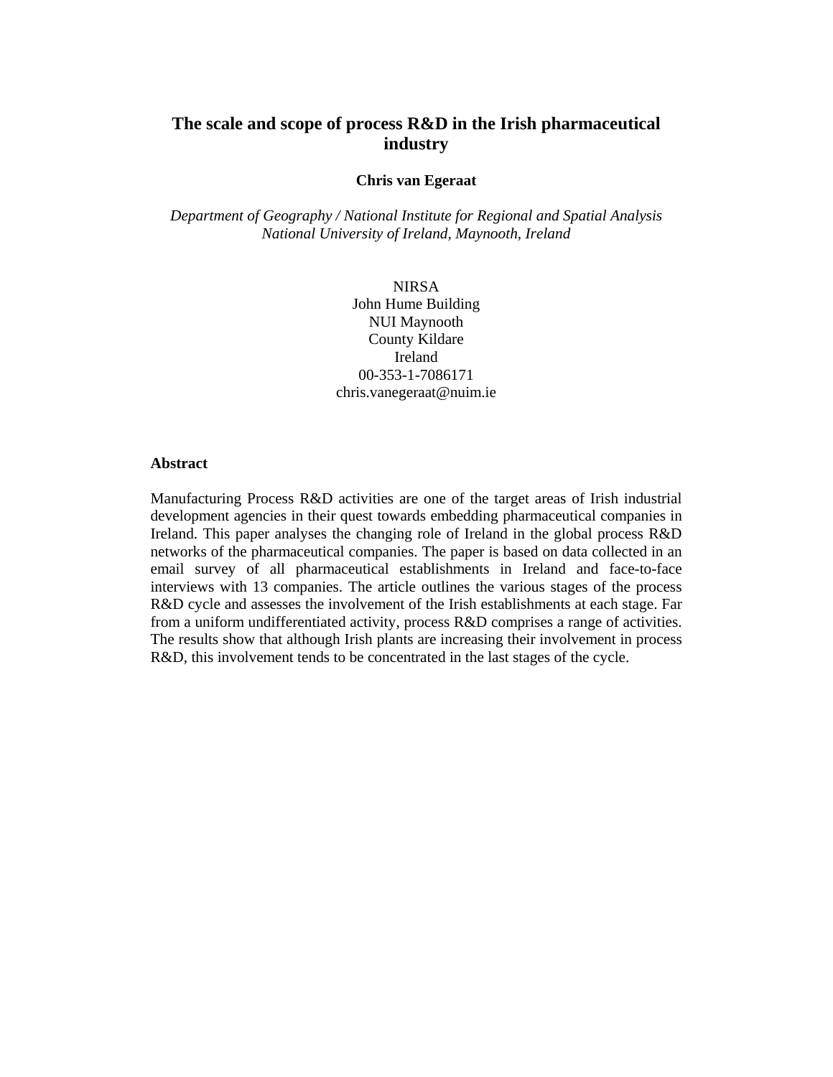## **The scale and scope of process R&D in the Irish pharmaceutical industry**

#### **Chris van Egeraat**

*Department of Geography / National Institute for Regional and Spatial Analysis National University of Ireland, Maynooth, Ireland* 

> NIRSA John Hume Building NUI Maynooth County Kildare Ireland 00-353-1-7086171 chris.vanegeraat@nuim.ie

#### **Abstract**

Manufacturing Process R&D activities are one of the target areas of Irish industrial development agencies in their quest towards embedding pharmaceutical companies in Ireland. This paper analyses the changing role of Ireland in the global process R&D networks of the pharmaceutical companies. The paper is based on data collected in an email survey of all pharmaceutical establishments in Ireland and face-to-face interviews with 13 companies. The article outlines the various stages of the process R&D cycle and assesses the involvement of the Irish establishments at each stage. Far from a uniform undifferentiated activity, process R&D comprises a range of activities. The results show that although Irish plants are increasing their involvement in process R&D, this involvement tends to be concentrated in the last stages of the cycle.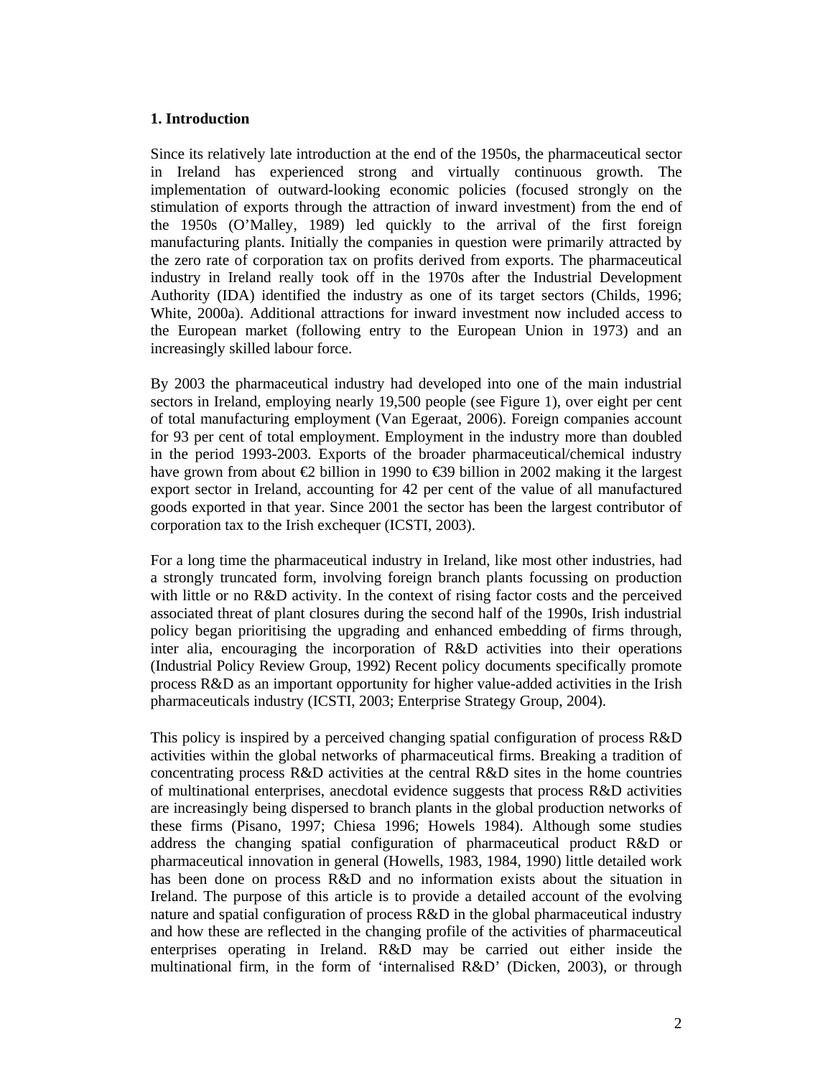## **1. Introduction**

Since its relatively late introduction at the end of the 1950s, the pharmaceutical sector in Ireland has experienced strong and virtually continuous growth. The implementation of outward-looking economic policies (focused strongly on the stimulation of exports through the attraction of inward investment) from the end of the 1950s (O'Malley, 1989) led quickly to the arrival of the first foreign manufacturing plants. Initially the companies in question were primarily attracted by the zero rate of corporation tax on profits derived from exports. The pharmaceutical industry in Ireland really took off in the 1970s after the Industrial Development Authority (IDA) identified the industry as one of its target sectors (Childs, 1996; White, 2000a). Additional attractions for inward investment now included access to the European market (following entry to the European Union in 1973) and an increasingly skilled labour force.

By 2003 the pharmaceutical industry had developed into one of the main industrial sectors in Ireland, employing nearly 19,500 people (see Figure 1), over eight per cent of total manufacturing employment (Van Egeraat, 2006). Foreign companies account for 93 per cent of total employment. Employment in the industry more than doubled in the period 1993-2003. Exports of the broader pharmaceutical/chemical industry have grown from about  $\bigoplus$  billion in 1990 to  $\bigoplus$  billion in 2002 making it the largest export sector in Ireland, accounting for 42 per cent of the value of all manufactured goods exported in that year. Since 2001 the sector has been the largest contributor of corporation tax to the Irish exchequer (ICSTI, 2003).

For a long time the pharmaceutical industry in Ireland, like most other industries, had a strongly truncated form, involving foreign branch plants focussing on production with little or no R&D activity. In the context of rising factor costs and the perceived associated threat of plant closures during the second half of the 1990s, Irish industrial policy began prioritising the upgrading and enhanced embedding of firms through, inter alia, encouraging the incorporation of R&D activities into their operations (Industrial Policy Review Group, 1992) Recent policy documents specifically promote process R&D as an important opportunity for higher value-added activities in the Irish pharmaceuticals industry (ICSTI, 2003; Enterprise Strategy Group, 2004).

This policy is inspired by a perceived changing spatial configuration of process R&D activities within the global networks of pharmaceutical firms. Breaking a tradition of concentrating process R&D activities at the central R&D sites in the home countries of multinational enterprises, anecdotal evidence suggests that process R&D activities are increasingly being dispersed to branch plants in the global production networks of these firms (Pisano, 1997; Chiesa 1996; Howels 1984). Although some studies address the changing spatial configuration of pharmaceutical product R&D or pharmaceutical innovation in general (Howells, 1983, 1984, 1990) little detailed work has been done on process R&D and no information exists about the situation in Ireland. The purpose of this article is to provide a detailed account of the evolving nature and spatial configuration of process R&D in the global pharmaceutical industry and how these are reflected in the changing profile of the activities of pharmaceutical enterprises operating in Ireland. R&D may be carried out either inside the multinational firm, in the form of 'internalised R&D' (Dicken, 2003), or through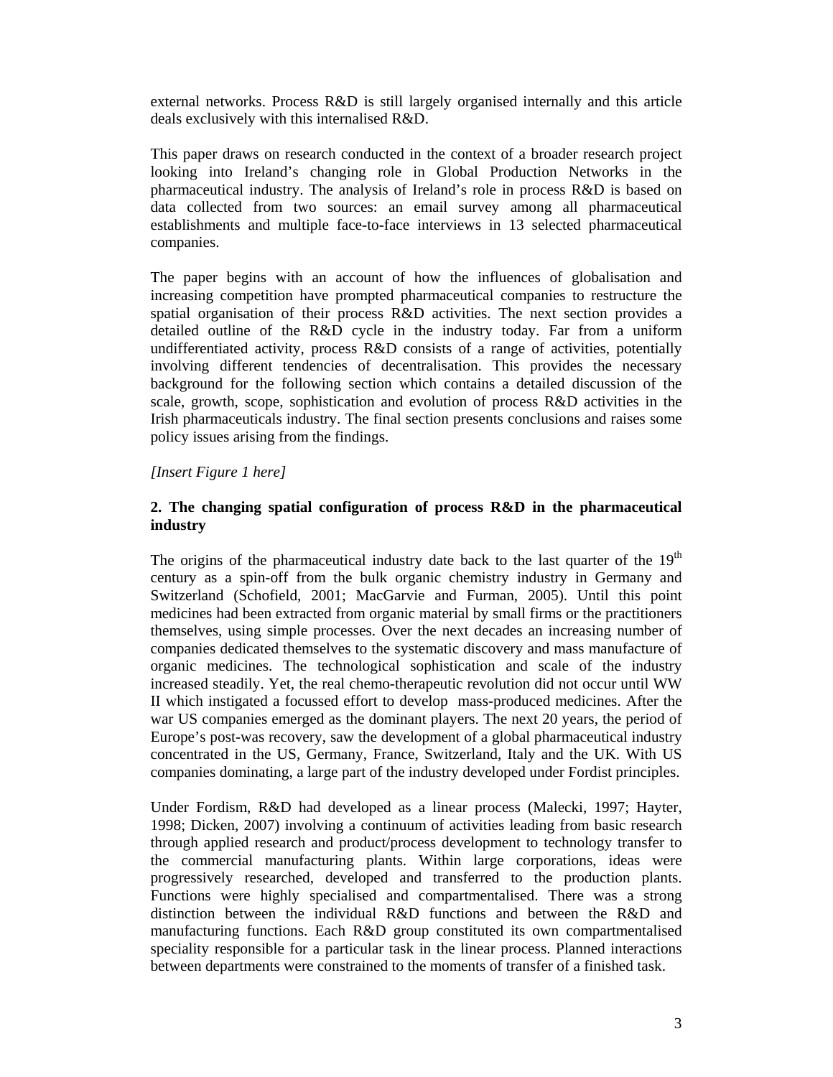external networks. Process R&D is still largely organised internally and this article deals exclusively with this internalised R&D.

This paper draws on research conducted in the context of a broader research project looking into Ireland's changing role in Global Production Networks in the pharmaceutical industry. The analysis of Ireland's role in process R&D is based on data collected from two sources: an email survey among all pharmaceutical establishments and multiple face-to-face interviews in 13 selected pharmaceutical companies.

The paper begins with an account of how the influences of globalisation and increasing competition have prompted pharmaceutical companies to restructure the spatial organisation of their process R&D activities. The next section provides a detailed outline of the R&D cycle in the industry today. Far from a uniform undifferentiated activity, process R&D consists of a range of activities, potentially involving different tendencies of decentralisation. This provides the necessary background for the following section which contains a detailed discussion of the scale, growth, scope, sophistication and evolution of process R&D activities in the Irish pharmaceuticals industry. The final section presents conclusions and raises some policy issues arising from the findings.

## *[Insert Figure 1 here]*

## **2. The changing spatial configuration of process R&D in the pharmaceutical industry**

The origins of the pharmaceutical industry date back to the last quarter of the  $19<sup>th</sup>$ century as a spin-off from the bulk organic chemistry industry in Germany and Switzerland (Schofield, 2001; MacGarvie and Furman, 2005). Until this point medicines had been extracted from organic material by small firms or the practitioners themselves, using simple processes. Over the next decades an increasing number of companies dedicated themselves to the systematic discovery and mass manufacture of organic medicines. The technological sophistication and scale of the industry increased steadily. Yet, the real chemo-therapeutic revolution did not occur until WW II which instigated a focussed effort to develop mass-produced medicines. After the war US companies emerged as the dominant players. The next 20 years, the period of Europe's post-was recovery, saw the development of a global pharmaceutical industry concentrated in the US, Germany, France, Switzerland, Italy and the UK. With US companies dominating, a large part of the industry developed under Fordist principles.

Under Fordism, R&D had developed as a linear process (Malecki, 1997; Hayter, 1998; Dicken, 2007) involving a continuum of activities leading from basic research through applied research and product/process development to technology transfer to the commercial manufacturing plants. Within large corporations, ideas were progressively researched, developed and transferred to the production plants. Functions were highly specialised and compartmentalised. There was a strong distinction between the individual R&D functions and between the R&D and manufacturing functions. Each R&D group constituted its own compartmentalised speciality responsible for a particular task in the linear process. Planned interactions between departments were constrained to the moments of transfer of a finished task.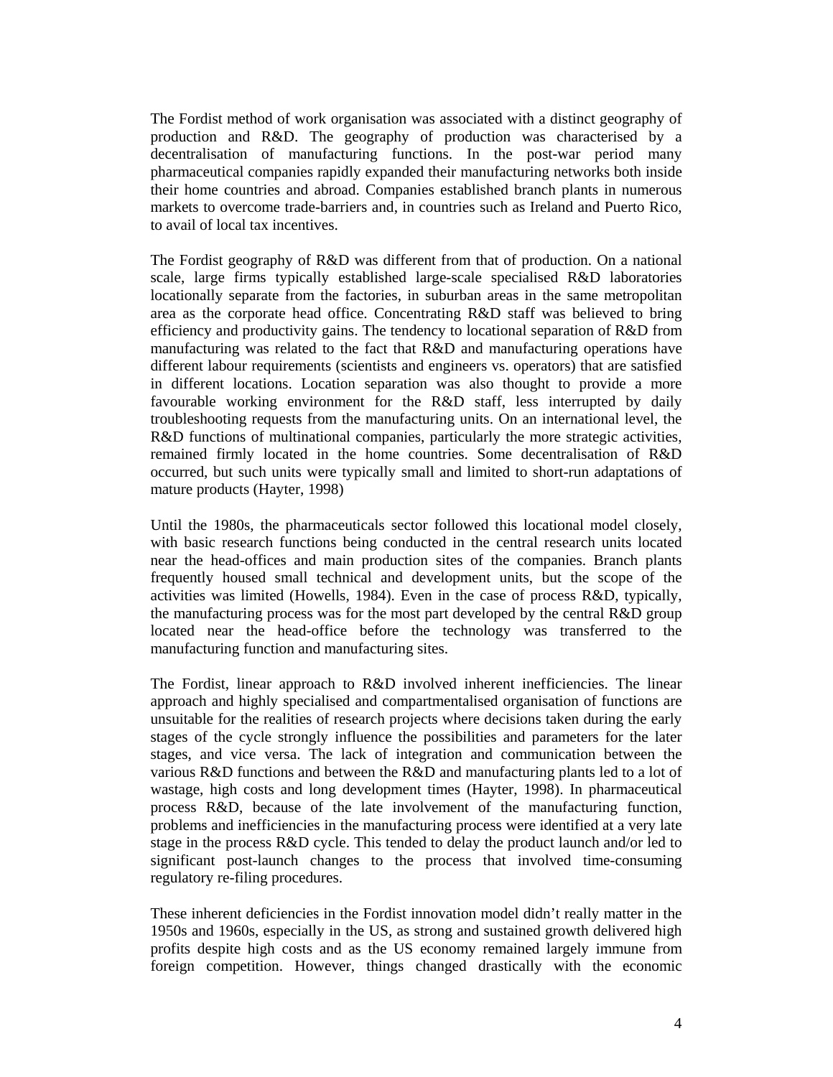The Fordist method of work organisation was associated with a distinct geography of production and R&D. The geography of production was characterised by a decentralisation of manufacturing functions. In the post-war period many pharmaceutical companies rapidly expanded their manufacturing networks both inside their home countries and abroad. Companies established branch plants in numerous markets to overcome trade-barriers and, in countries such as Ireland and Puerto Rico, to avail of local tax incentives.

The Fordist geography of R&D was different from that of production. On a national scale, large firms typically established large-scale specialised R&D laboratories locationally separate from the factories, in suburban areas in the same metropolitan area as the corporate head office. Concentrating R&D staff was believed to bring efficiency and productivity gains. The tendency to locational separation of R&D from manufacturing was related to the fact that R&D and manufacturing operations have different labour requirements (scientists and engineers vs. operators) that are satisfied in different locations. Location separation was also thought to provide a more favourable working environment for the R&D staff, less interrupted by daily troubleshooting requests from the manufacturing units. On an international level, the R&D functions of multinational companies, particularly the more strategic activities, remained firmly located in the home countries. Some decentralisation of R&D occurred, but such units were typically small and limited to short-run adaptations of mature products (Hayter, 1998)

Until the 1980s, the pharmaceuticals sector followed this locational model closely, with basic research functions being conducted in the central research units located near the head-offices and main production sites of the companies. Branch plants frequently housed small technical and development units, but the scope of the activities was limited (Howells, 1984). Even in the case of process R&D, typically, the manufacturing process was for the most part developed by the central R&D group located near the head-office before the technology was transferred to the manufacturing function and manufacturing sites.

The Fordist, linear approach to R&D involved inherent inefficiencies. The linear approach and highly specialised and compartmentalised organisation of functions are unsuitable for the realities of research projects where decisions taken during the early stages of the cycle strongly influence the possibilities and parameters for the later stages, and vice versa. The lack of integration and communication between the various R&D functions and between the R&D and manufacturing plants led to a lot of wastage, high costs and long development times (Hayter, 1998). In pharmaceutical process R&D, because of the late involvement of the manufacturing function, problems and inefficiencies in the manufacturing process were identified at a very late stage in the process R&D cycle. This tended to delay the product launch and/or led to significant post-launch changes to the process that involved time-consuming regulatory re-filing procedures.

These inherent deficiencies in the Fordist innovation model didn't really matter in the 1950s and 1960s, especially in the US, as strong and sustained growth delivered high profits despite high costs and as the US economy remained largely immune from foreign competition. However, things changed drastically with the economic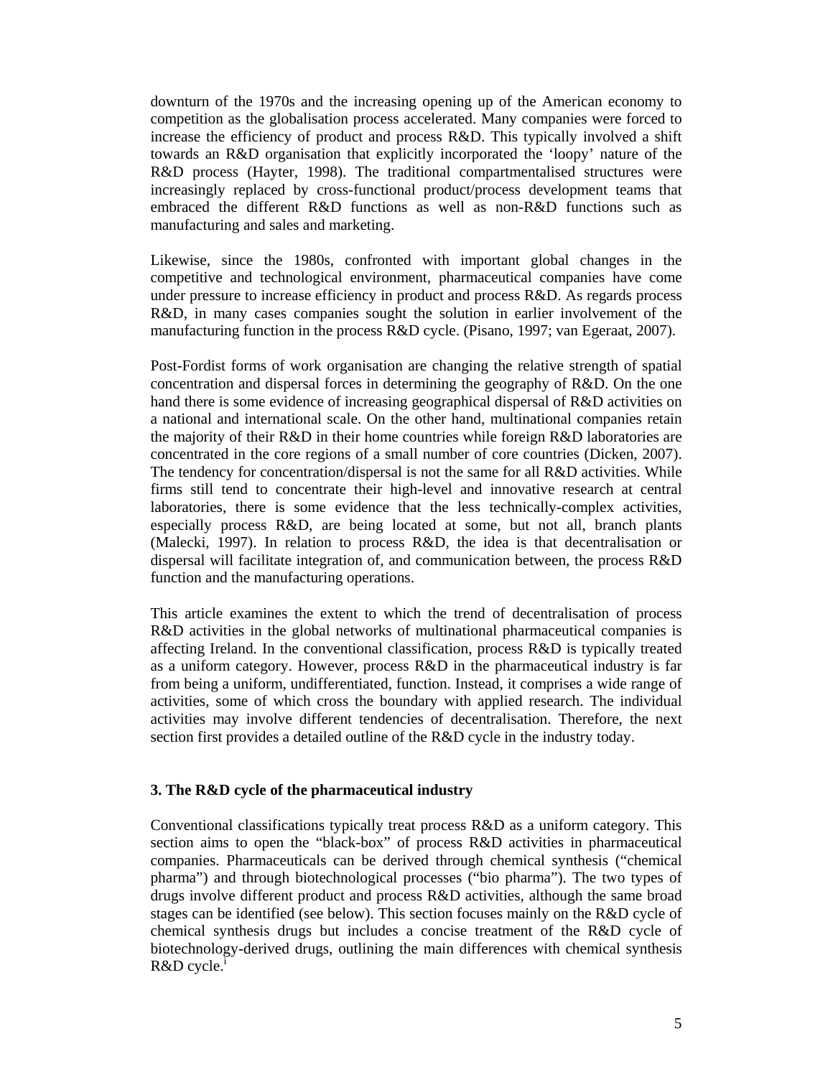downturn of the 1970s and the increasing opening up of the American economy to competition as the globalisation process accelerated. Many companies were forced to increase the efficiency of product and process R&D. This typically involved a shift towards an R&D organisation that explicitly incorporated the 'loopy' nature of the R&D process (Hayter, 1998). The traditional compartmentalised structures were increasingly replaced by cross-functional product/process development teams that embraced the different R&D functions as well as non-R&D functions such as manufacturing and sales and marketing.

Likewise, since the 1980s, confronted with important global changes in the competitive and technological environment, pharmaceutical companies have come under pressure to increase efficiency in product and process R&D. As regards process R&D, in many cases companies sought the solution in earlier involvement of the manufacturing function in the process R&D cycle. (Pisano, 1997; van Egeraat, 2007).

Post-Fordist forms of work organisation are changing the relative strength of spatial concentration and dispersal forces in determining the geography of R&D. On the one hand there is some evidence of increasing geographical dispersal of R&D activities on a national and international scale. On the other hand, multinational companies retain the majority of their R&D in their home countries while foreign R&D laboratories are concentrated in the core regions of a small number of core countries (Dicken, 2007). The tendency for concentration/dispersal is not the same for all R&D activities. While firms still tend to concentrate their high-level and innovative research at central laboratories, there is some evidence that the less technically-complex activities, especially process R&D, are being located at some, but not all, branch plants (Malecki, 1997). In relation to process R&D, the idea is that decentralisation or dispersal will facilitate integration of, and communication between, the process R&D function and the manufacturing operations.

This article examines the extent to which the trend of decentralisation of process R&D activities in the global networks of multinational pharmaceutical companies is affecting Ireland. In the conventional classification, process R&D is typically treated as a uniform category. However, process  $R&D$  in the pharmaceutical industry is far from being a uniform, undifferentiated, function. Instead, it comprises a wide range of activities, some of which cross the boundary with applied research. The individual activities may involve different tendencies of decentralisation. Therefore, the next section first provides a detailed outline of the R&D cycle in the industry today.

## **3. The R&D cycle of the pharmaceutical industry**

Conventional classifications typically treat process R&D as a uniform category. This section aims to open the "black-box" of process R&D activities in pharmaceutical companies. Pharmaceuticals can be derived through chemical synthesis ("chemical pharma") and through biotechnological processes ("bio pharma"). The two types of drugs involve different product and process R&D activities, although the same broad stages can be identified (see below). This section focuses mainly on the R&D cycle of chemical synthesis drugs but includes a concise treatment of the R&D cycle of biotechnology-derived drugs, outlining the main differences with chemical synthesis  $R&D$  cycle.<sup>i</sup>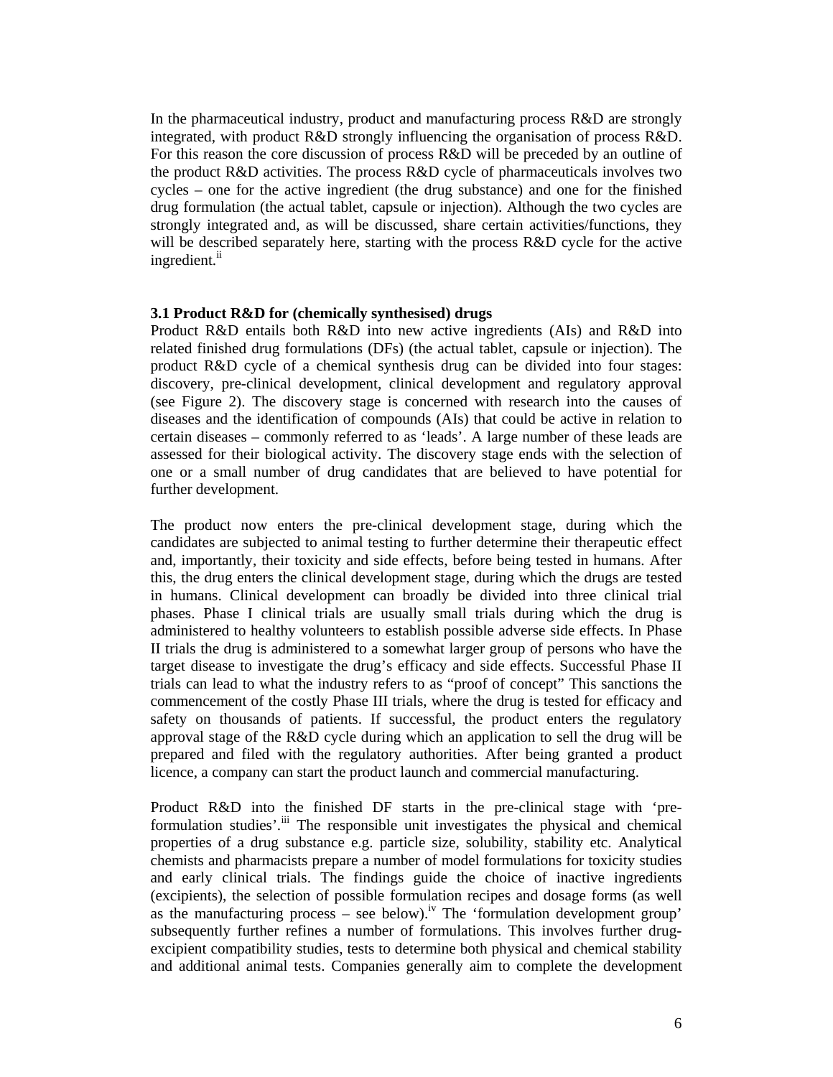In the pharmaceutical industry, product and manufacturing process R&D are strongly integrated, with product R&D strongly influencing the organisation of process R&D. For this reason the core discussion of process R&D will be preceded by an outline of the product R&D activities. The process R&D cycle of pharmaceuticals involves two cycles – one for the active ingredient (the drug substance) and one for the finished drug formulation (the actual tablet, capsule or injection). Although the two cycles are strongly integrated and, as will be discussed, share certain activities/functions, they will be described separately here, starting with the process R&D cycle for the active ingredient.<sup>ii</sup>

#### **3.1 Product R&D for (chemically synthesised) drugs**

Product R&D entails both R&D into new active ingredients (AIs) and R&D into related finished drug formulations (DFs) (the actual tablet, capsule or injection). The product R&D cycle of a chemical synthesis drug can be divided into four stages: discovery, pre-clinical development, clinical development and regulatory approval (see Figure 2). The discovery stage is concerned with research into the causes of diseases and the identification of compounds (AIs) that could be active in relation to certain diseases – commonly referred to as 'leads'. A large number of these leads are assessed for their biological activity. The discovery stage ends with the selection of one or a small number of drug candidates that are believed to have potential for further development.

The product now enters the pre-clinical development stage, during which the candidates are subjected to animal testing to further determine their therapeutic effect and, importantly, their toxicity and side effects, before being tested in humans. After this, the drug enters the clinical development stage, during which the drugs are tested in humans. Clinical development can broadly be divided into three clinical trial phases. Phase I clinical trials are usually small trials during which the drug is administered to healthy volunteers to establish possible adverse side effects. In Phase II trials the drug is administered to a somewhat larger group of persons who have the target disease to investigate the drug's efficacy and side effects. Successful Phase II trials can lead to what the industry refers to as "proof of concept" This sanctions the commencement of the costly Phase III trials, where the drug is tested for efficacy and safety on thousands of patients. If successful, the product enters the regulatory approval stage of the R&D cycle during which an application to sell the drug will be prepared and filed with the regulatory authorities. After being granted a product licence, a company can start the product launch and commercial manufacturing.

Product R&D into the finished DF starts in the pre-clinical stage with 'preformulation studies'.<sup>iii</sup> The responsible unit investigates the physical and chemical properties of a drug substance e.g. particle size, solubility, stability etc. Analytical chemists and pharmacists prepare a number of model formulations for toxicity studies and early clinical trials. The findings guide the choice of inactive ingredients (excipients), the selection of possible formulation recipes and dosage forms (as well as the manufacturing process – see below).<sup>iv</sup> The 'formulation development group' subsequently further refines a number of formulations. This involves further drugexcipient compatibility studies, tests to determine both physical and chemical stability and additional animal tests. Companies generally aim to complete the development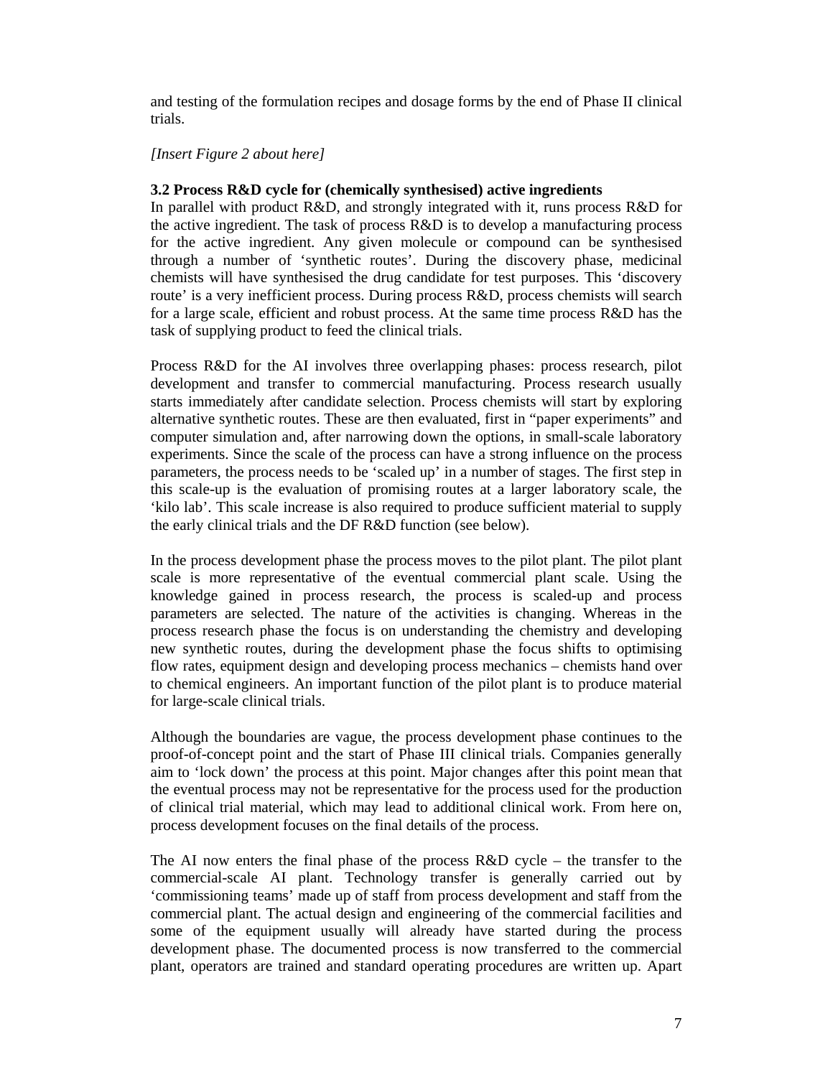and testing of the formulation recipes and dosage forms by the end of Phase II clinical trials.

## *[Insert Figure 2 about here]*

## **3.2 Process R&D cycle for (chemically synthesised) active ingredients**

In parallel with product R&D, and strongly integrated with it, runs process R&D for the active ingredient. The task of process R&D is to develop a manufacturing process for the active ingredient. Any given molecule or compound can be synthesised through a number of 'synthetic routes'. During the discovery phase, medicinal chemists will have synthesised the drug candidate for test purposes. This 'discovery route' is a very inefficient process. During process R&D, process chemists will search for a large scale, efficient and robust process. At the same time process R&D has the task of supplying product to feed the clinical trials.

Process R&D for the AI involves three overlapping phases: process research, pilot development and transfer to commercial manufacturing. Process research usually starts immediately after candidate selection. Process chemists will start by exploring alternative synthetic routes. These are then evaluated, first in "paper experiments" and computer simulation and, after narrowing down the options, in small-scale laboratory experiments. Since the scale of the process can have a strong influence on the process parameters, the process needs to be 'scaled up' in a number of stages. The first step in this scale-up is the evaluation of promising routes at a larger laboratory scale, the 'kilo lab'. This scale increase is also required to produce sufficient material to supply the early clinical trials and the DF R&D function (see below).

In the process development phase the process moves to the pilot plant. The pilot plant scale is more representative of the eventual commercial plant scale. Using the knowledge gained in process research, the process is scaled-up and process parameters are selected. The nature of the activities is changing. Whereas in the process research phase the focus is on understanding the chemistry and developing new synthetic routes, during the development phase the focus shifts to optimising flow rates, equipment design and developing process mechanics – chemists hand over to chemical engineers. An important function of the pilot plant is to produce material for large-scale clinical trials.

Although the boundaries are vague, the process development phase continues to the proof-of-concept point and the start of Phase III clinical trials. Companies generally aim to 'lock down' the process at this point. Major changes after this point mean that the eventual process may not be representative for the process used for the production of clinical trial material, which may lead to additional clinical work. From here on, process development focuses on the final details of the process.

The AI now enters the final phase of the process  $R&D$  cycle – the transfer to the commercial-scale AI plant. Technology transfer is generally carried out by 'commissioning teams' made up of staff from process development and staff from the commercial plant. The actual design and engineering of the commercial facilities and some of the equipment usually will already have started during the process development phase. The documented process is now transferred to the commercial plant, operators are trained and standard operating procedures are written up. Apart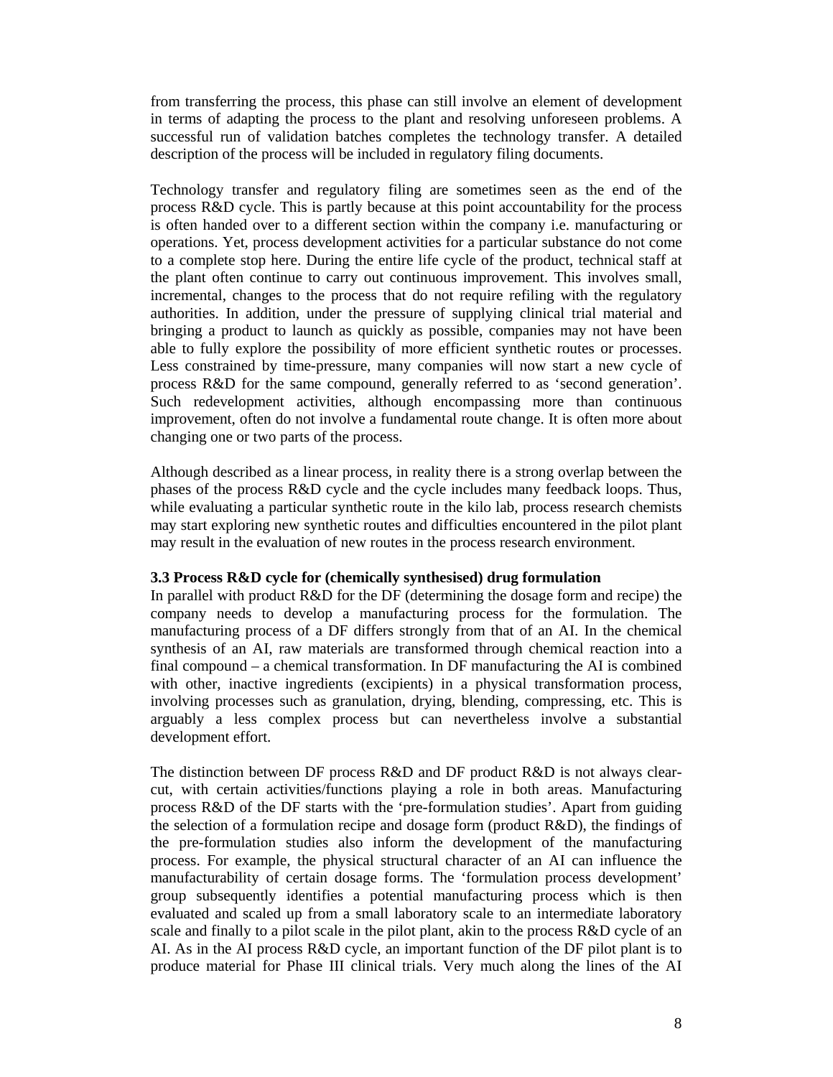from transferring the process, this phase can still involve an element of development in terms of adapting the process to the plant and resolving unforeseen problems. A successful run of validation batches completes the technology transfer. A detailed description of the process will be included in regulatory filing documents.

Technology transfer and regulatory filing are sometimes seen as the end of the process R&D cycle. This is partly because at this point accountability for the process is often handed over to a different section within the company i.e. manufacturing or operations. Yet, process development activities for a particular substance do not come to a complete stop here. During the entire life cycle of the product, technical staff at the plant often continue to carry out continuous improvement. This involves small, incremental, changes to the process that do not require refiling with the regulatory authorities. In addition, under the pressure of supplying clinical trial material and bringing a product to launch as quickly as possible, companies may not have been able to fully explore the possibility of more efficient synthetic routes or processes. Less constrained by time-pressure, many companies will now start a new cycle of process R&D for the same compound, generally referred to as 'second generation'. Such redevelopment activities, although encompassing more than continuous improvement, often do not involve a fundamental route change. It is often more about changing one or two parts of the process.

Although described as a linear process, in reality there is a strong overlap between the phases of the process R&D cycle and the cycle includes many feedback loops. Thus, while evaluating a particular synthetic route in the kilo lab, process research chemists may start exploring new synthetic routes and difficulties encountered in the pilot plant may result in the evaluation of new routes in the process research environment.

#### **3.3 Process R&D cycle for (chemically synthesised) drug formulation**

In parallel with product R&D for the DF (determining the dosage form and recipe) the company needs to develop a manufacturing process for the formulation. The manufacturing process of a DF differs strongly from that of an AI. In the chemical synthesis of an AI, raw materials are transformed through chemical reaction into a final compound – a chemical transformation. In DF manufacturing the AI is combined with other, inactive ingredients (excipients) in a physical transformation process, involving processes such as granulation, drying, blending, compressing, etc. This is arguably a less complex process but can nevertheless involve a substantial development effort.

The distinction between DF process R&D and DF product R&D is not always clearcut, with certain activities/functions playing a role in both areas. Manufacturing process R&D of the DF starts with the 'pre-formulation studies'. Apart from guiding the selection of a formulation recipe and dosage form (product R&D), the findings of the pre-formulation studies also inform the development of the manufacturing process. For example, the physical structural character of an AI can influence the manufacturability of certain dosage forms. The 'formulation process development' group subsequently identifies a potential manufacturing process which is then evaluated and scaled up from a small laboratory scale to an intermediate laboratory scale and finally to a pilot scale in the pilot plant, akin to the process R&D cycle of an AI. As in the AI process R&D cycle, an important function of the DF pilot plant is to produce material for Phase III clinical trials. Very much along the lines of the AI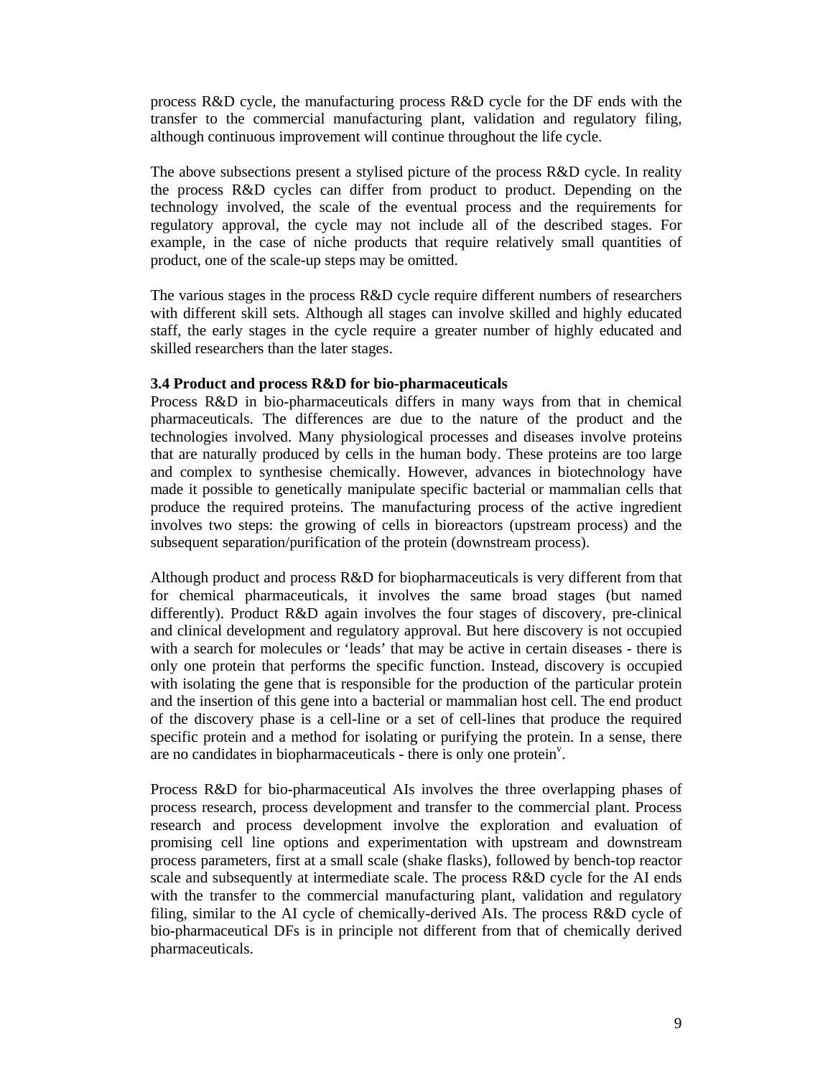process R&D cycle, the manufacturing process R&D cycle for the DF ends with the transfer to the commercial manufacturing plant, validation and regulatory filing, although continuous improvement will continue throughout the life cycle.

The above subsections present a stylised picture of the process R&D cycle. In reality the process R&D cycles can differ from product to product. Depending on the technology involved, the scale of the eventual process and the requirements for regulatory approval, the cycle may not include all of the described stages. For example, in the case of niche products that require relatively small quantities of product, one of the scale-up steps may be omitted.

The various stages in the process R&D cycle require different numbers of researchers with different skill sets. Although all stages can involve skilled and highly educated staff, the early stages in the cycle require a greater number of highly educated and skilled researchers than the later stages.

#### **3.4 Product and process R&D for bio-pharmaceuticals**

Process R&D in bio-pharmaceuticals differs in many ways from that in chemical pharmaceuticals. The differences are due to the nature of the product and the technologies involved. Many physiological processes and diseases involve proteins that are naturally produced by cells in the human body. These proteins are too large and complex to synthesise chemically. However, advances in biotechnology have made it possible to genetically manipulate specific bacterial or mammalian cells that produce the required proteins. The manufacturing process of the active ingredient involves two steps: the growing of cells in bioreactors (upstream process) and the subsequent separation/purification of the protein (downstream process).

Although product and process R&D for biopharmaceuticals is very different from that for chemical pharmaceuticals, it involves the same broad stages (but named differently). Product R&D again involves the four stages of discovery, pre-clinical and clinical development and regulatory approval. But here discovery is not occupied with a search for molecules or 'leads' that may be active in certain diseases - there is only one protein that performs the specific function. Instead, discovery is occupied with isolating the gene that is responsible for the production of the particular protein and the insertion of this gene into a bacterial or mammalian host cell. The end product of the discovery phase is a cell-line or a set of cell-lines that produce the required specific protein and a method for isolating or purifying the protein. In a sense, there are no candidates in biopharmaceuticals - there is only one protein<sup>v</sup>.

Process R&D for bio-pharmaceutical AIs involves the three overlapping phases of process research, process development and transfer to the commercial plant. Process research and process development involve the exploration and evaluation of promising cell line options and experimentation with upstream and downstream process parameters, first at a small scale (shake flasks), followed by bench-top reactor scale and subsequently at intermediate scale. The process R&D cycle for the AI ends with the transfer to the commercial manufacturing plant, validation and regulatory filing, similar to the AI cycle of chemically-derived AIs. The process R&D cycle of bio-pharmaceutical DFs is in principle not different from that of chemically derived pharmaceuticals.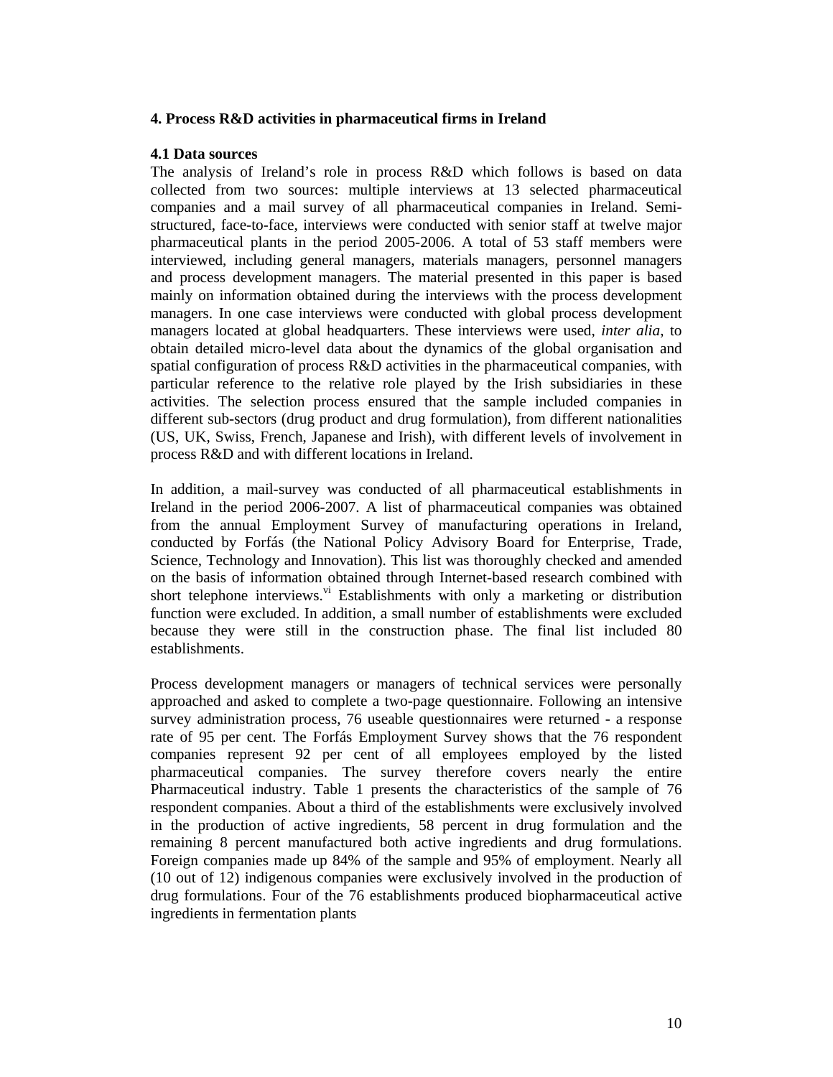#### **4. Process R&D activities in pharmaceutical firms in Ireland**

#### **4.1 Data sources**

The analysis of Ireland's role in process R&D which follows is based on data collected from two sources: multiple interviews at 13 selected pharmaceutical companies and a mail survey of all pharmaceutical companies in Ireland. Semistructured, face-to-face, interviews were conducted with senior staff at twelve major pharmaceutical plants in the period 2005-2006. A total of 53 staff members were interviewed, including general managers, materials managers, personnel managers and process development managers. The material presented in this paper is based mainly on information obtained during the interviews with the process development managers. In one case interviews were conducted with global process development managers located at global headquarters. These interviews were used, *inter alia*, to obtain detailed micro-level data about the dynamics of the global organisation and spatial configuration of process R&D activities in the pharmaceutical companies, with particular reference to the relative role played by the Irish subsidiaries in these activities. The selection process ensured that the sample included companies in different sub-sectors (drug product and drug formulation), from different nationalities (US, UK, Swiss, French, Japanese and Irish), with different levels of involvement in process R&D and with different locations in Ireland.

In addition, a mail-survey was conducted of all pharmaceutical establishments in Ireland in the period 2006-2007. A list of pharmaceutical companies was obtained from the annual Employment Survey of manufacturing operations in Ireland, conducted by Forfás (the National Policy Advisory Board for Enterprise, Trade, Science, Technology and Innovation). This list was thoroughly checked and amended on the basis of information obtained through Internet-based research combined with short telephone interviews. $\overline{v}$  Establishments with only a marketing or distribution function were excluded. In addition, a small number of establishments were excluded because they were still in the construction phase. The final list included 80 establishments.

Process development managers or managers of technical services were personally approached and asked to complete a two-page questionnaire. Following an intensive survey administration process, 76 useable questionnaires were returned - a response rate of 95 per cent. The Forfás Employment Survey shows that the 76 respondent companies represent 92 per cent of all employees employed by the listed pharmaceutical companies. The survey therefore covers nearly the entire Pharmaceutical industry. Table 1 presents the characteristics of the sample of 76 respondent companies. About a third of the establishments were exclusively involved in the production of active ingredients, 58 percent in drug formulation and the remaining 8 percent manufactured both active ingredients and drug formulations. Foreign companies made up 84% of the sample and 95% of employment. Nearly all (10 out of 12) indigenous companies were exclusively involved in the production of drug formulations. Four of the 76 establishments produced biopharmaceutical active ingredients in fermentation plants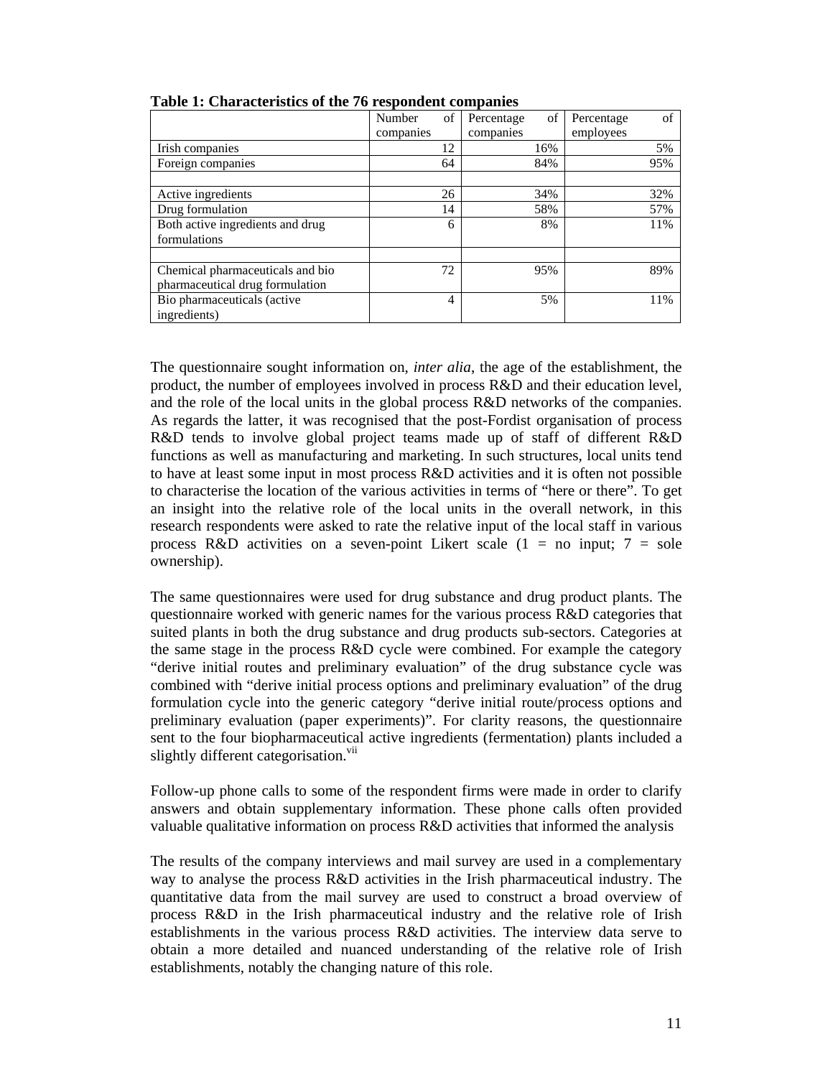|                                  | Number<br>companies | of | Percentage<br>companies | of  | Percentage<br>employees | of  |
|----------------------------------|---------------------|----|-------------------------|-----|-------------------------|-----|
| Irish companies                  |                     | 12 |                         | 16% |                         | 5%  |
| Foreign companies                |                     | 64 |                         | 84% |                         | 95% |
|                                  |                     |    |                         |     |                         |     |
| Active ingredients               |                     | 26 |                         | 34% |                         | 32% |
| Drug formulation                 |                     | 14 |                         | 58% |                         | 57% |
| Both active ingredients and drug |                     | 6  |                         | 8%  |                         | 11% |
| formulations                     |                     |    |                         |     |                         |     |
|                                  |                     |    |                         |     |                         |     |
| Chemical pharmaceuticals and bio |                     | 72 |                         | 95% |                         | 89% |
| pharmaceutical drug formulation  |                     |    |                         |     |                         |     |
| Bio pharmaceuticals (active      |                     | 4  |                         | 5%  |                         | 11% |
| ingredients)                     |                     |    |                         |     |                         |     |

**Table 1: Characteristics of the 76 respondent companies** 

The questionnaire sought information on, *inter alia*, the age of the establishment, the product, the number of employees involved in process R&D and their education level, and the role of the local units in the global process R&D networks of the companies. As regards the latter, it was recognised that the post-Fordist organisation of process R&D tends to involve global project teams made up of staff of different R&D functions as well as manufacturing and marketing. In such structures, local units tend to have at least some input in most process R&D activities and it is often not possible to characterise the location of the various activities in terms of "here or there". To get an insight into the relative role of the local units in the overall network, in this research respondents were asked to rate the relative input of the local staff in various process R&D activities on a seven-point Likert scale  $(1 = no input; 7 = sole$ ownership).

The same questionnaires were used for drug substance and drug product plants. The questionnaire worked with generic names for the various process R&D categories that suited plants in both the drug substance and drug products sub-sectors. Categories at the same stage in the process R&D cycle were combined. For example the category "derive initial routes and preliminary evaluation" of the drug substance cycle was combined with "derive initial process options and preliminary evaluation" of the drug formulation cycle into the generic category "derive initial route/process options and preliminary evaluation (paper experiments)". For clarity reasons, the questionnaire sent to the four biopharmaceutical active ingredients (fermentation) plants included a slightly different categorisation.<sup>vii</sup>

Follow-up phone calls to some of the respondent firms were made in order to clarify answers and obtain supplementary information. These phone calls often provided valuable qualitative information on process R&D activities that informed the analysis

The results of the company interviews and mail survey are used in a complementary way to analyse the process R&D activities in the Irish pharmaceutical industry. The quantitative data from the mail survey are used to construct a broad overview of process R&D in the Irish pharmaceutical industry and the relative role of Irish establishments in the various process R&D activities. The interview data serve to obtain a more detailed and nuanced understanding of the relative role of Irish establishments, notably the changing nature of this role.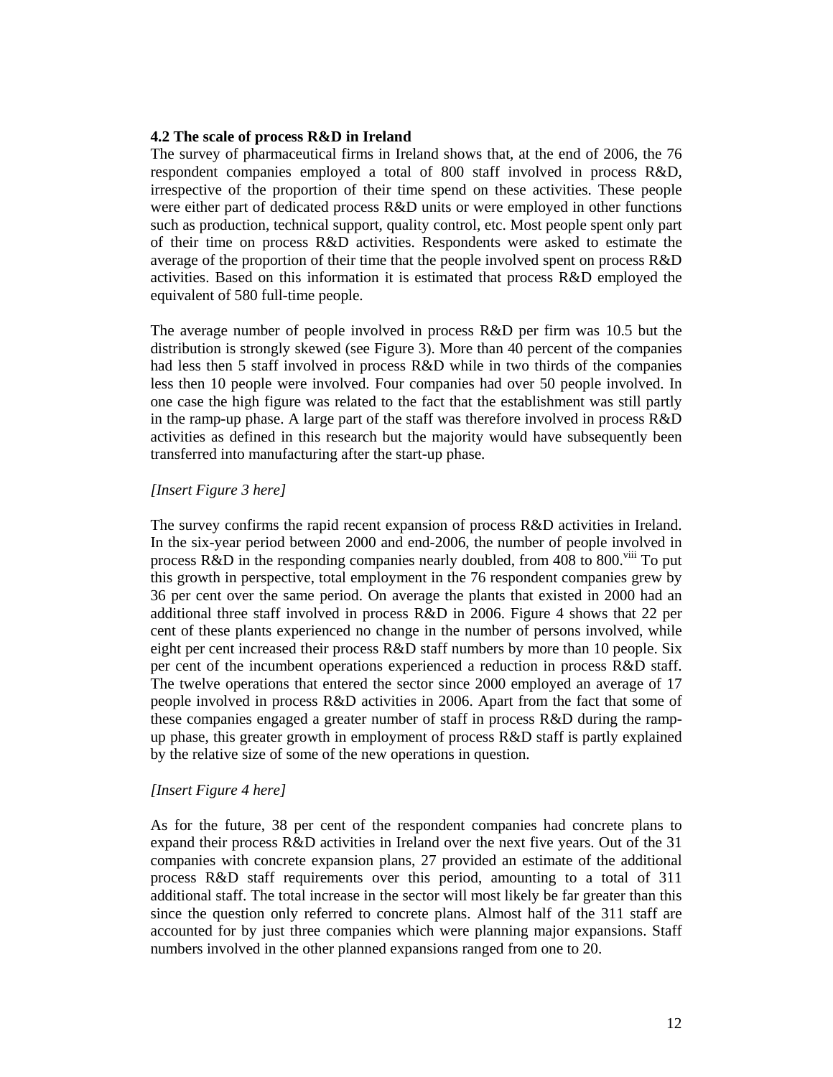#### **4.2 The scale of process R&D in Ireland**

The survey of pharmaceutical firms in Ireland shows that, at the end of 2006, the 76 respondent companies employed a total of 800 staff involved in process R&D, irrespective of the proportion of their time spend on these activities. These people were either part of dedicated process R&D units or were employed in other functions such as production, technical support, quality control, etc. Most people spent only part of their time on process R&D activities. Respondents were asked to estimate the average of the proportion of their time that the people involved spent on process R&D activities. Based on this information it is estimated that process R&D employed the equivalent of 580 full-time people.

The average number of people involved in process R&D per firm was 10.5 but the distribution is strongly skewed (see Figure 3). More than 40 percent of the companies had less then 5 staff involved in process R&D while in two thirds of the companies less then 10 people were involved. Four companies had over 50 people involved. In one case the high figure was related to the fact that the establishment was still partly in the ramp-up phase. A large part of the staff was therefore involved in process R&D activities as defined in this research but the majority would have subsequently been transferred into manufacturing after the start-up phase.

## *[Insert Figure 3 here]*

The survey confirms the rapid recent expansion of process R&D activities in Ireland. In the six-year period between 2000 and end-2006, the number of people involved in process R&D in the responding companies nearly doubled, from 408 to 800.<sup>viii</sup> To put this growth in perspective, total employment in the 76 respondent companies grew by 36 per cent over the same period. On average the plants that existed in 2000 had an additional three staff involved in process R&D in 2006. Figure 4 shows that 22 per cent of these plants experienced no change in the number of persons involved, while eight per cent increased their process R&D staff numbers by more than 10 people. Six per cent of the incumbent operations experienced a reduction in process R&D staff. The twelve operations that entered the sector since 2000 employed an average of 17 people involved in process R&D activities in 2006. Apart from the fact that some of these companies engaged a greater number of staff in process R&D during the rampup phase, this greater growth in employment of process R&D staff is partly explained by the relative size of some of the new operations in question.

## *[Insert Figure 4 here]*

As for the future, 38 per cent of the respondent companies had concrete plans to expand their process R&D activities in Ireland over the next five years. Out of the 31 companies with concrete expansion plans, 27 provided an estimate of the additional process R&D staff requirements over this period, amounting to a total of 311 additional staff. The total increase in the sector will most likely be far greater than this since the question only referred to concrete plans. Almost half of the 311 staff are accounted for by just three companies which were planning major expansions. Staff numbers involved in the other planned expansions ranged from one to 20.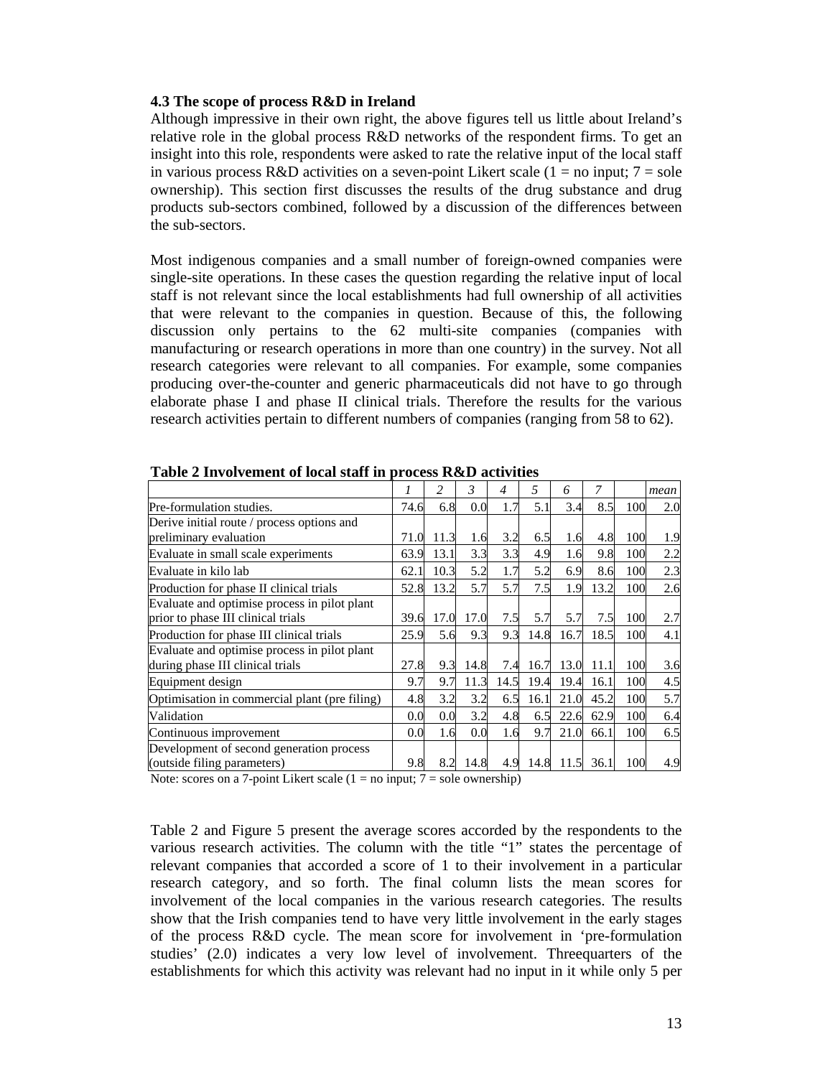## **4.3 The scope of process R&D in Ireland**

Although impressive in their own right, the above figures tell us little about Ireland's relative role in the global process R&D networks of the respondent firms. To get an insight into this role, respondents were asked to rate the relative input of the local staff in various process R&D activities on a seven-point Likert scale ( $1 = no$  input;  $7 = sole$ ) ownership). This section first discusses the results of the drug substance and drug products sub-sectors combined, followed by a discussion of the differences between the sub-sectors.

Most indigenous companies and a small number of foreign-owned companies were single-site operations. In these cases the question regarding the relative input of local staff is not relevant since the local establishments had full ownership of all activities that were relevant to the companies in question. Because of this, the following discussion only pertains to the 62 multi-site companies (companies with manufacturing or research operations in more than one country) in the survey. Not all research categories were relevant to all companies. For example, some companies producing over-the-counter and generic pharmaceuticals did not have to go through elaborate phase I and phase II clinical trials. Therefore the results for the various research activities pertain to different numbers of companies (ranging from 58 to 62).

| radio 2 meetrum of local bahr in<br><b>Process Replacements</b>                    |      |      |      |                |      |      |      |     |      |  |  |
|------------------------------------------------------------------------------------|------|------|------|----------------|------|------|------|-----|------|--|--|
|                                                                                    |      | 2    | 3    | $\overline{4}$ | 5    | 6    | 7    |     | mean |  |  |
| Pre-formulation studies.                                                           | 74.6 | 6.8  | 0.0  | 1.7            | 5.1  | 3.4  | 8.5  | 100 | 2.0  |  |  |
| Derive initial route / process options and<br>preliminary evaluation               | 71.0 | 11.3 | 1.6  | 3.2            | 6.5  | 1.6  | 4.8  | 100 | 1.9  |  |  |
| Evaluate in small scale experiments                                                | 63.9 | 13.1 | 3.3  | 3.3            | 4.9  | 1.6  | 9.8  | 100 | 2.2  |  |  |
| Evaluate in kilo lab                                                               | 62.1 | 10.3 | 5.2  | 1.7            | 5.2  | 6.9  | 8.6  | 100 | 2.3  |  |  |
| Production for phase II clinical trials                                            | 52.8 | 13.2 | 5.7  | 5.7            | 7.5  | 1.9  | 13.2 | 100 | 2.6  |  |  |
| Evaluate and optimise process in pilot plant<br>prior to phase III clinical trials | 39.6 | 17.0 | 17.0 | 7.5            | 5.7  | 5.7  | 7.5  | 100 | 2.7  |  |  |
| Production for phase III clinical trials                                           | 25.9 | 5.6  | 9.3  | 9.3            | 14.8 | 16.7 | 18.5 | 100 | 4.1  |  |  |
| Evaluate and optimise process in pilot plant<br>during phase III clinical trials   | 27.8 | 9.3  | 14.8 | 7.4            | 16.7 | 13.0 | 11.1 | 100 | 3.6  |  |  |
| Equipment design                                                                   | 9.7  | 9.7  | 11.3 | 14.5           | 19.4 | 19.4 | 16.1 | 100 | 4.5  |  |  |
| Optimisation in commercial plant (pre filing)                                      | 4.8  | 3.2  | 3.2  | 6.5            | 16.1 | 21.0 | 45.2 | 100 | 5.7  |  |  |
| Validation                                                                         | 0.0  | 0.0  | 3.2  | 4.8            | 6.5  | 22.6 | 62.9 | 100 | 6.4  |  |  |
| Continuous improvement                                                             | 0.0  | 1.6  | 0.0  | 1.6            | 9.7  | 21.0 | 66.1 | 100 | 6.5  |  |  |
| Development of second generation process<br>(outside filing parameters)            | 9.8  | 8.2  | 14.8 | 4.9            | 14.8 | 11.5 | 36.1 | 100 | 4.9  |  |  |

**Table 2 Involvement of local staff in process R&D activities** 

Note: scores on a 7-point Likert scale  $(1 = no input; 7 = sole ownership)$ 

Table 2 and Figure 5 present the average scores accorded by the respondents to the various research activities. The column with the title "1" states the percentage of relevant companies that accorded a score of 1 to their involvement in a particular research category, and so forth. The final column lists the mean scores for involvement of the local companies in the various research categories. The results show that the Irish companies tend to have very little involvement in the early stages of the process R&D cycle. The mean score for involvement in 'pre-formulation studies' (2.0) indicates a very low level of involvement. Threequarters of the establishments for which this activity was relevant had no input in it while only 5 per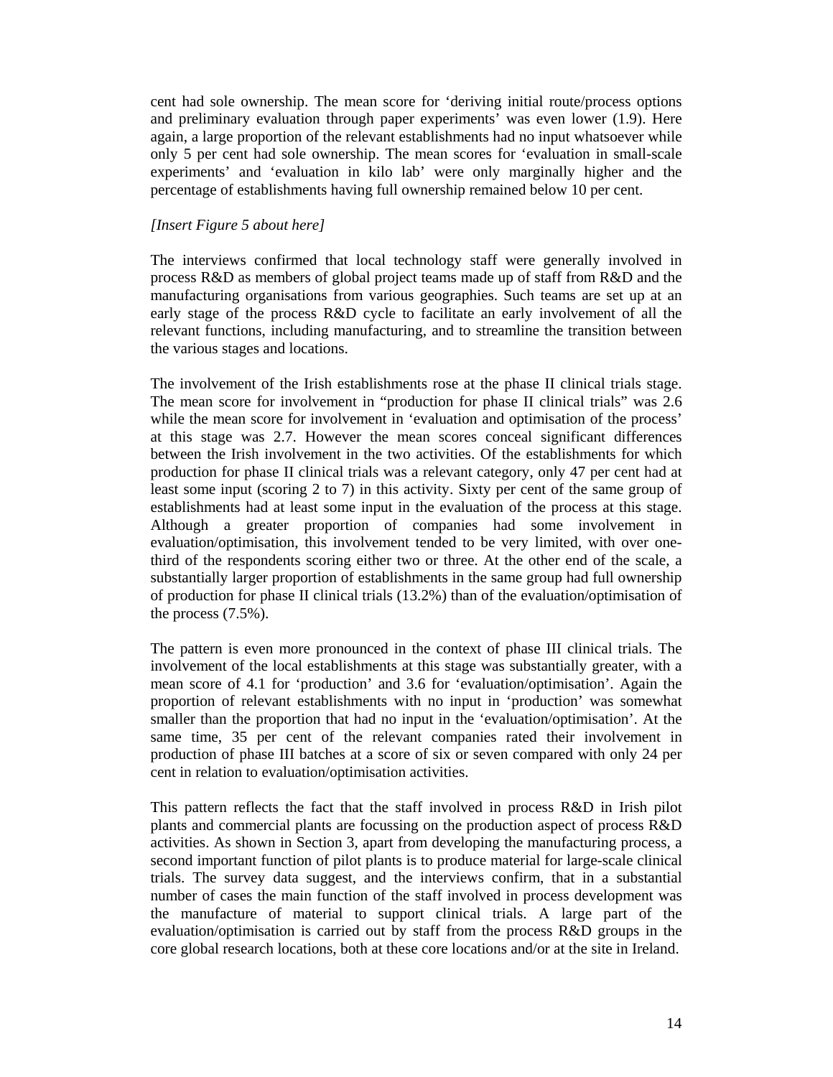cent had sole ownership. The mean score for 'deriving initial route/process options and preliminary evaluation through paper experiments' was even lower (1.9). Here again, a large proportion of the relevant establishments had no input whatsoever while only 5 per cent had sole ownership. The mean scores for 'evaluation in small-scale experiments' and 'evaluation in kilo lab' were only marginally higher and the percentage of establishments having full ownership remained below 10 per cent.

### *[Insert Figure 5 about here]*

The interviews confirmed that local technology staff were generally involved in process R&D as members of global project teams made up of staff from R&D and the manufacturing organisations from various geographies. Such teams are set up at an early stage of the process R&D cycle to facilitate an early involvement of all the relevant functions, including manufacturing, and to streamline the transition between the various stages and locations.

The involvement of the Irish establishments rose at the phase II clinical trials stage. The mean score for involvement in "production for phase II clinical trials" was 2.6 while the mean score for involvement in 'evaluation and optimisation of the process' at this stage was 2.7. However the mean scores conceal significant differences between the Irish involvement in the two activities. Of the establishments for which production for phase II clinical trials was a relevant category, only 47 per cent had at least some input (scoring 2 to 7) in this activity. Sixty per cent of the same group of establishments had at least some input in the evaluation of the process at this stage. Although a greater proportion of companies had some involvement in evaluation/optimisation, this involvement tended to be very limited, with over onethird of the respondents scoring either two or three. At the other end of the scale, a substantially larger proportion of establishments in the same group had full ownership of production for phase II clinical trials (13.2%) than of the evaluation/optimisation of the process (7.5%).

The pattern is even more pronounced in the context of phase III clinical trials. The involvement of the local establishments at this stage was substantially greater, with a mean score of 4.1 for 'production' and 3.6 for 'evaluation/optimisation'. Again the proportion of relevant establishments with no input in 'production' was somewhat smaller than the proportion that had no input in the 'evaluation/optimisation'. At the same time, 35 per cent of the relevant companies rated their involvement in production of phase III batches at a score of six or seven compared with only 24 per cent in relation to evaluation/optimisation activities.

This pattern reflects the fact that the staff involved in process R&D in Irish pilot plants and commercial plants are focussing on the production aspect of process R&D activities. As shown in Section 3, apart from developing the manufacturing process, a second important function of pilot plants is to produce material for large-scale clinical trials. The survey data suggest, and the interviews confirm, that in a substantial number of cases the main function of the staff involved in process development was the manufacture of material to support clinical trials. A large part of the evaluation/optimisation is carried out by staff from the process R&D groups in the core global research locations, both at these core locations and/or at the site in Ireland.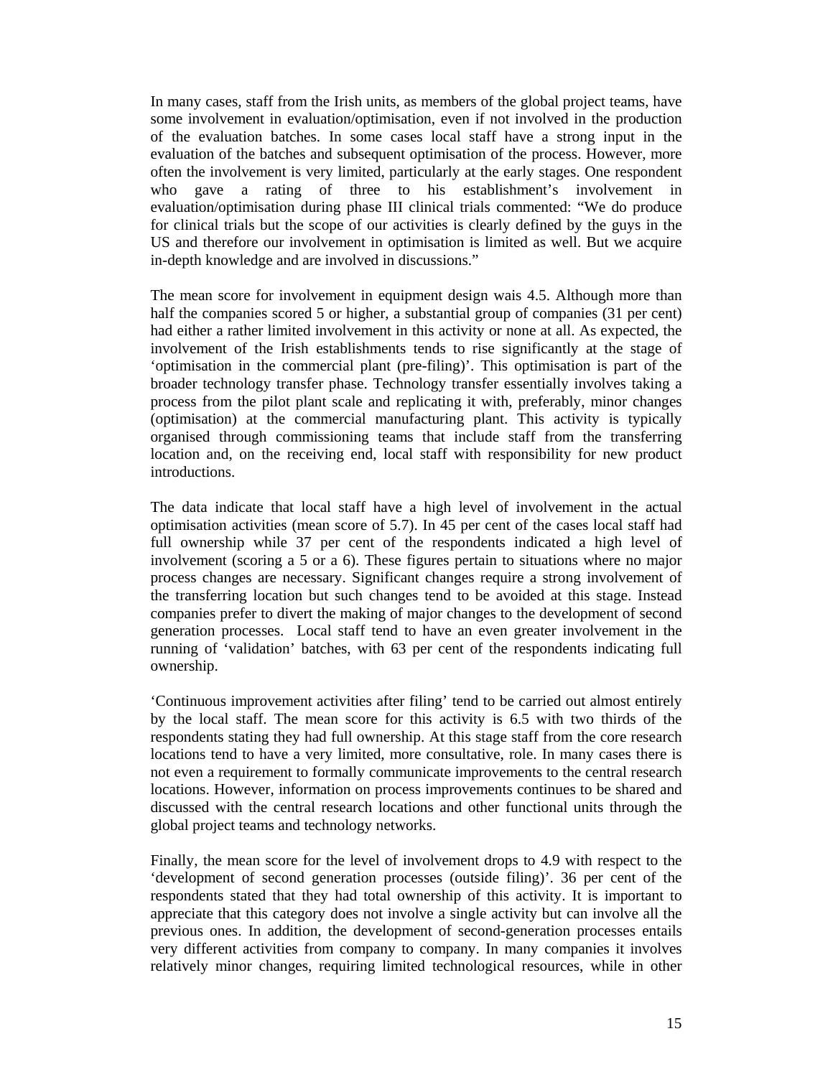In many cases, staff from the Irish units, as members of the global project teams, have some involvement in evaluation/optimisation, even if not involved in the production of the evaluation batches. In some cases local staff have a strong input in the evaluation of the batches and subsequent optimisation of the process. However, more often the involvement is very limited, particularly at the early stages. One respondent who gave a rating of three to his establishment's involvement in evaluation/optimisation during phase III clinical trials commented: "We do produce for clinical trials but the scope of our activities is clearly defined by the guys in the US and therefore our involvement in optimisation is limited as well. But we acquire in-depth knowledge and are involved in discussions."

The mean score for involvement in equipment design wais 4.5. Although more than half the companies scored 5 or higher, a substantial group of companies (31 per cent) had either a rather limited involvement in this activity or none at all. As expected, the involvement of the Irish establishments tends to rise significantly at the stage of 'optimisation in the commercial plant (pre-filing)'. This optimisation is part of the broader technology transfer phase. Technology transfer essentially involves taking a process from the pilot plant scale and replicating it with, preferably, minor changes (optimisation) at the commercial manufacturing plant. This activity is typically organised through commissioning teams that include staff from the transferring location and, on the receiving end, local staff with responsibility for new product introductions.

The data indicate that local staff have a high level of involvement in the actual optimisation activities (mean score of 5.7). In 45 per cent of the cases local staff had full ownership while 37 per cent of the respondents indicated a high level of involvement (scoring a 5 or a 6). These figures pertain to situations where no major process changes are necessary. Significant changes require a strong involvement of the transferring location but such changes tend to be avoided at this stage. Instead companies prefer to divert the making of major changes to the development of second generation processes. Local staff tend to have an even greater involvement in the running of 'validation' batches, with 63 per cent of the respondents indicating full ownership.

'Continuous improvement activities after filing' tend to be carried out almost entirely by the local staff. The mean score for this activity is 6.5 with two thirds of the respondents stating they had full ownership. At this stage staff from the core research locations tend to have a very limited, more consultative, role. In many cases there is not even a requirement to formally communicate improvements to the central research locations. However, information on process improvements continues to be shared and discussed with the central research locations and other functional units through the global project teams and technology networks.

Finally, the mean score for the level of involvement drops to 4.9 with respect to the 'development of second generation processes (outside filing)'. 36 per cent of the respondents stated that they had total ownership of this activity. It is important to appreciate that this category does not involve a single activity but can involve all the previous ones. In addition, the development of second-generation processes entails very different activities from company to company. In many companies it involves relatively minor changes, requiring limited technological resources, while in other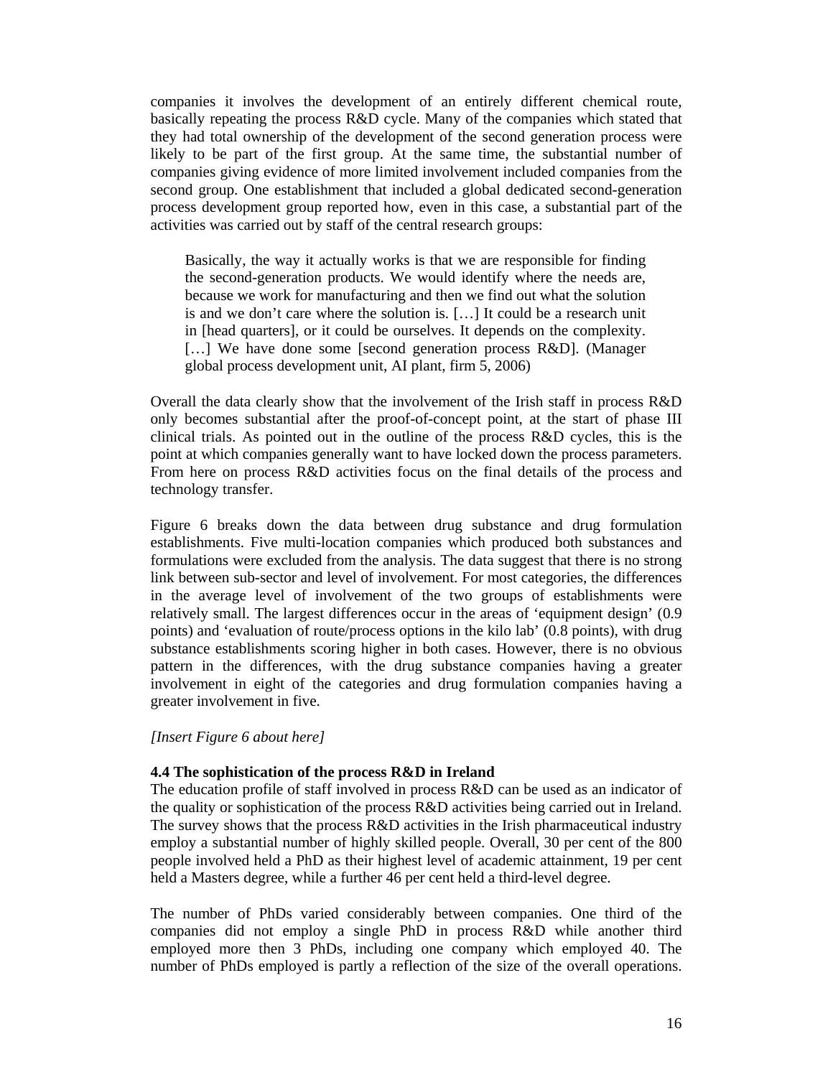companies it involves the development of an entirely different chemical route, basically repeating the process R&D cycle. Many of the companies which stated that they had total ownership of the development of the second generation process were likely to be part of the first group. At the same time, the substantial number of companies giving evidence of more limited involvement included companies from the second group. One establishment that included a global dedicated second-generation process development group reported how, even in this case, a substantial part of the activities was carried out by staff of the central research groups:

Basically, the way it actually works is that we are responsible for finding the second-generation products. We would identify where the needs are, because we work for manufacturing and then we find out what the solution is and we don't care where the solution is. […] It could be a research unit in [head quarters], or it could be ourselves. It depends on the complexity. [...] We have done some [second generation process R&D]. (Manager global process development unit, AI plant, firm 5, 2006)

Overall the data clearly show that the involvement of the Irish staff in process R&D only becomes substantial after the proof-of-concept point, at the start of phase III clinical trials. As pointed out in the outline of the process R&D cycles, this is the point at which companies generally want to have locked down the process parameters. From here on process R&D activities focus on the final details of the process and technology transfer.

Figure 6 breaks down the data between drug substance and drug formulation establishments. Five multi-location companies which produced both substances and formulations were excluded from the analysis. The data suggest that there is no strong link between sub-sector and level of involvement. For most categories, the differences in the average level of involvement of the two groups of establishments were relatively small. The largest differences occur in the areas of 'equipment design' (0.9 points) and 'evaluation of route/process options in the kilo lab' (0.8 points), with drug substance establishments scoring higher in both cases. However, there is no obvious pattern in the differences, with the drug substance companies having a greater involvement in eight of the categories and drug formulation companies having a greater involvement in five.

*[Insert Figure 6 about here]* 

## **4.4 The sophistication of the process R&D in Ireland**

The education profile of staff involved in process R&D can be used as an indicator of the quality or sophistication of the process R&D activities being carried out in Ireland. The survey shows that the process R&D activities in the Irish pharmaceutical industry employ a substantial number of highly skilled people. Overall, 30 per cent of the 800 people involved held a PhD as their highest level of academic attainment, 19 per cent held a Masters degree, while a further 46 per cent held a third-level degree.

The number of PhDs varied considerably between companies. One third of the companies did not employ a single PhD in process R&D while another third employed more then 3 PhDs, including one company which employed 40. The number of PhDs employed is partly a reflection of the size of the overall operations.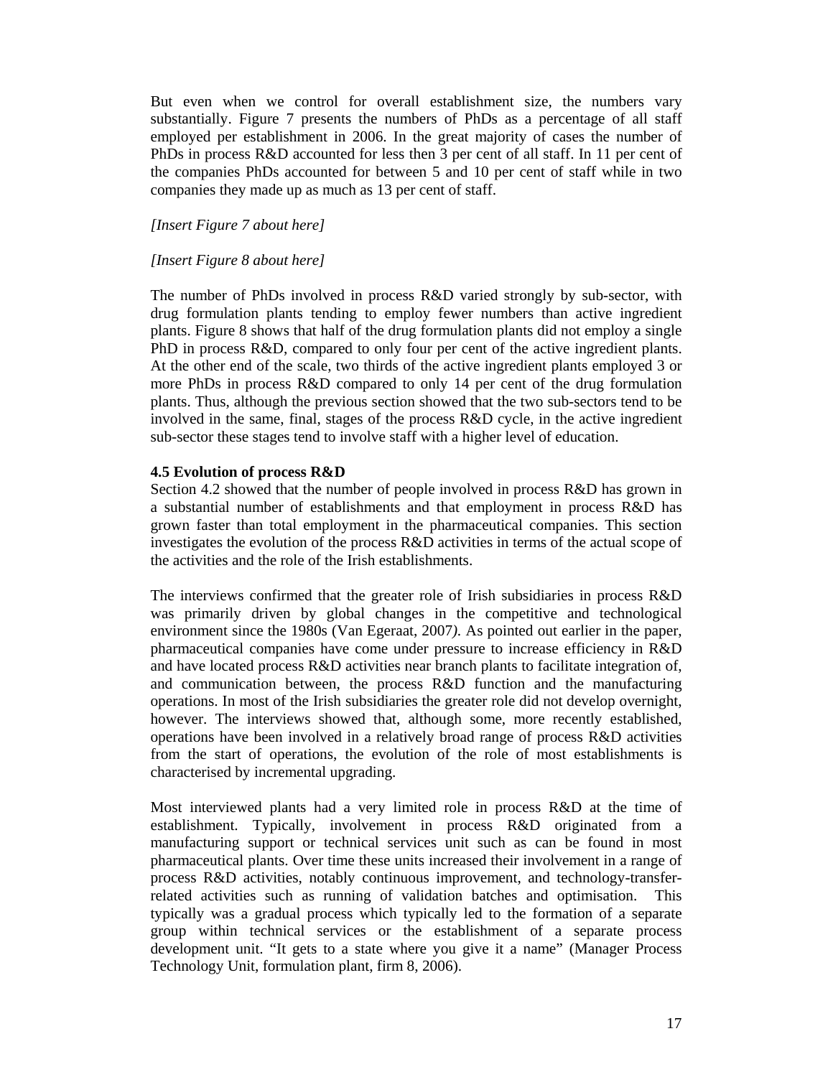But even when we control for overall establishment size, the numbers vary substantially. Figure 7 presents the numbers of PhDs as a percentage of all staff employed per establishment in 2006. In the great majority of cases the number of PhDs in process R&D accounted for less then 3 per cent of all staff. In 11 per cent of the companies PhDs accounted for between 5 and 10 per cent of staff while in two companies they made up as much as 13 per cent of staff.

## *[Insert Figure 7 about here]*

## *[Insert Figure 8 about here]*

The number of PhDs involved in process R&D varied strongly by sub-sector, with drug formulation plants tending to employ fewer numbers than active ingredient plants. Figure 8 shows that half of the drug formulation plants did not employ a single PhD in process R&D, compared to only four per cent of the active ingredient plants. At the other end of the scale, two thirds of the active ingredient plants employed 3 or more PhDs in process R&D compared to only 14 per cent of the drug formulation plants. Thus, although the previous section showed that the two sub-sectors tend to be involved in the same, final, stages of the process R&D cycle, in the active ingredient sub-sector these stages tend to involve staff with a higher level of education.

## **4.5 Evolution of process R&D**

Section 4.2 showed that the number of people involved in process R&D has grown in a substantial number of establishments and that employment in process R&D has grown faster than total employment in the pharmaceutical companies. This section investigates the evolution of the process R&D activities in terms of the actual scope of the activities and the role of the Irish establishments.

The interviews confirmed that the greater role of Irish subsidiaries in process R&D was primarily driven by global changes in the competitive and technological environment since the 1980s (Van Egeraat, 2007*).* As pointed out earlier in the paper, pharmaceutical companies have come under pressure to increase efficiency in R&D and have located process R&D activities near branch plants to facilitate integration of, and communication between, the process R&D function and the manufacturing operations. In most of the Irish subsidiaries the greater role did not develop overnight, however. The interviews showed that, although some, more recently established, operations have been involved in a relatively broad range of process R&D activities from the start of operations, the evolution of the role of most establishments is characterised by incremental upgrading.

Most interviewed plants had a very limited role in process R&D at the time of establishment. Typically, involvement in process R&D originated from a manufacturing support or technical services unit such as can be found in most pharmaceutical plants. Over time these units increased their involvement in a range of process R&D activities, notably continuous improvement, and technology-transferrelated activities such as running of validation batches and optimisation. This typically was a gradual process which typically led to the formation of a separate group within technical services or the establishment of a separate process development unit. "It gets to a state where you give it a name" (Manager Process Technology Unit, formulation plant, firm 8, 2006).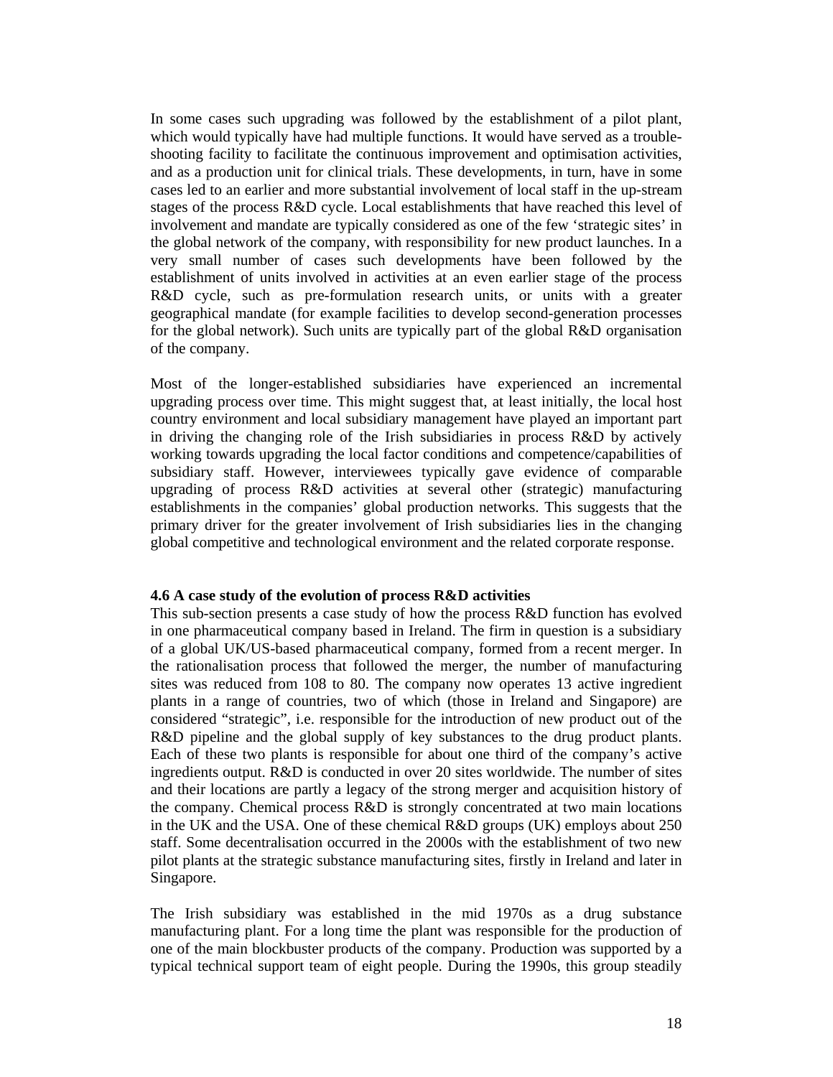In some cases such upgrading was followed by the establishment of a pilot plant, which would typically have had multiple functions. It would have served as a troubleshooting facility to facilitate the continuous improvement and optimisation activities, and as a production unit for clinical trials. These developments, in turn, have in some cases led to an earlier and more substantial involvement of local staff in the up-stream stages of the process R&D cycle. Local establishments that have reached this level of involvement and mandate are typically considered as one of the few 'strategic sites' in the global network of the company, with responsibility for new product launches. In a very small number of cases such developments have been followed by the establishment of units involved in activities at an even earlier stage of the process R&D cycle, such as pre-formulation research units, or units with a greater geographical mandate (for example facilities to develop second-generation processes for the global network). Such units are typically part of the global R&D organisation of the company.

Most of the longer-established subsidiaries have experienced an incremental upgrading process over time. This might suggest that, at least initially, the local host country environment and local subsidiary management have played an important part in driving the changing role of the Irish subsidiaries in process R&D by actively working towards upgrading the local factor conditions and competence/capabilities of subsidiary staff. However, interviewees typically gave evidence of comparable upgrading of process R&D activities at several other (strategic) manufacturing establishments in the companies' global production networks. This suggests that the primary driver for the greater involvement of Irish subsidiaries lies in the changing global competitive and technological environment and the related corporate response.

#### **4.6 A case study of the evolution of process R&D activities**

This sub-section presents a case study of how the process R&D function has evolved in one pharmaceutical company based in Ireland. The firm in question is a subsidiary of a global UK/US-based pharmaceutical company, formed from a recent merger. In the rationalisation process that followed the merger, the number of manufacturing sites was reduced from 108 to 80. The company now operates 13 active ingredient plants in a range of countries, two of which (those in Ireland and Singapore) are considered "strategic", i.e. responsible for the introduction of new product out of the R&D pipeline and the global supply of key substances to the drug product plants. Each of these two plants is responsible for about one third of the company's active ingredients output. R&D is conducted in over 20 sites worldwide. The number of sites and their locations are partly a legacy of the strong merger and acquisition history of the company. Chemical process R&D is strongly concentrated at two main locations in the UK and the USA. One of these chemical R&D groups (UK) employs about 250 staff. Some decentralisation occurred in the 2000s with the establishment of two new pilot plants at the strategic substance manufacturing sites, firstly in Ireland and later in Singapore.

The Irish subsidiary was established in the mid 1970s as a drug substance manufacturing plant. For a long time the plant was responsible for the production of one of the main blockbuster products of the company. Production was supported by a typical technical support team of eight people. During the 1990s, this group steadily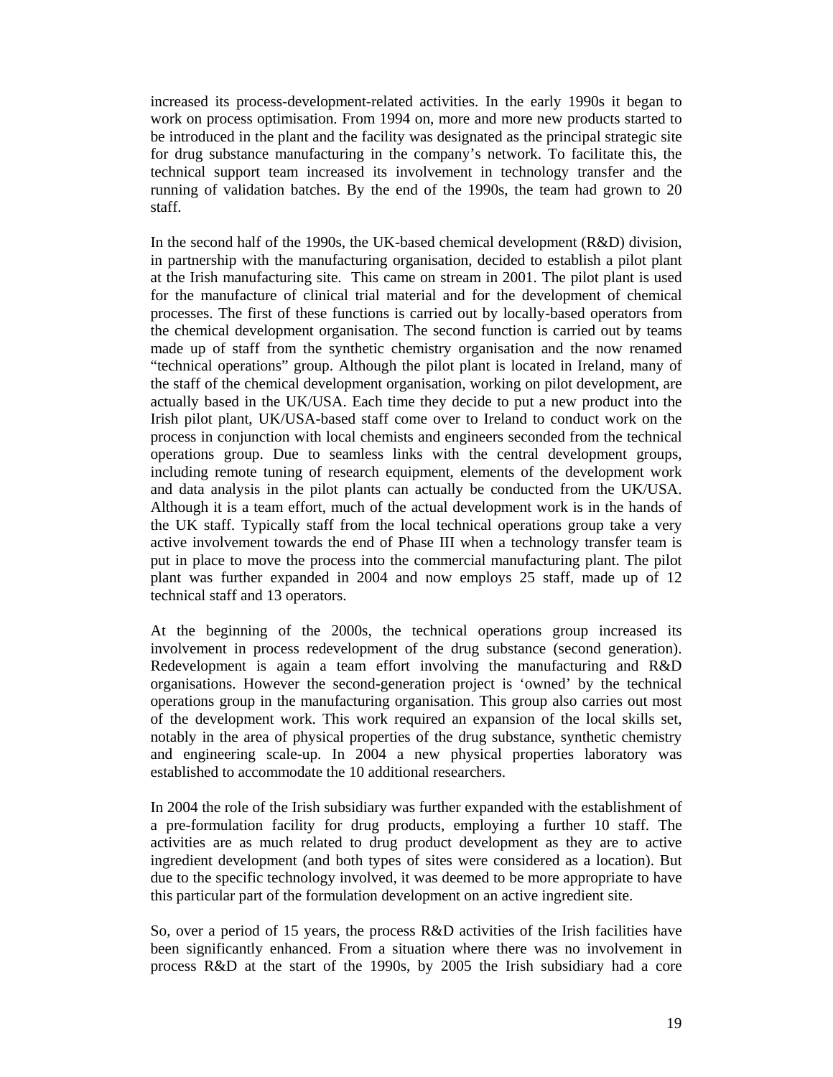increased its process-development-related activities. In the early 1990s it began to work on process optimisation. From 1994 on, more and more new products started to be introduced in the plant and the facility was designated as the principal strategic site for drug substance manufacturing in the company's network. To facilitate this, the technical support team increased its involvement in technology transfer and the running of validation batches. By the end of the 1990s, the team had grown to 20 staff.

In the second half of the 1990s, the UK-based chemical development (R&D) division, in partnership with the manufacturing organisation, decided to establish a pilot plant at the Irish manufacturing site. This came on stream in 2001. The pilot plant is used for the manufacture of clinical trial material and for the development of chemical processes. The first of these functions is carried out by locally-based operators from the chemical development organisation. The second function is carried out by teams made up of staff from the synthetic chemistry organisation and the now renamed "technical operations" group. Although the pilot plant is located in Ireland, many of the staff of the chemical development organisation, working on pilot development, are actually based in the UK/USA. Each time they decide to put a new product into the Irish pilot plant, UK/USA-based staff come over to Ireland to conduct work on the process in conjunction with local chemists and engineers seconded from the technical operations group. Due to seamless links with the central development groups, including remote tuning of research equipment, elements of the development work and data analysis in the pilot plants can actually be conducted from the UK/USA. Although it is a team effort, much of the actual development work is in the hands of the UK staff. Typically staff from the local technical operations group take a very active involvement towards the end of Phase III when a technology transfer team is put in place to move the process into the commercial manufacturing plant. The pilot plant was further expanded in 2004 and now employs 25 staff, made up of 12 technical staff and 13 operators.

At the beginning of the 2000s, the technical operations group increased its involvement in process redevelopment of the drug substance (second generation). Redevelopment is again a team effort involving the manufacturing and R&D organisations. However the second-generation project is 'owned' by the technical operations group in the manufacturing organisation. This group also carries out most of the development work. This work required an expansion of the local skills set, notably in the area of physical properties of the drug substance, synthetic chemistry and engineering scale-up. In 2004 a new physical properties laboratory was established to accommodate the 10 additional researchers.

In 2004 the role of the Irish subsidiary was further expanded with the establishment of a pre-formulation facility for drug products, employing a further 10 staff. The activities are as much related to drug product development as they are to active ingredient development (and both types of sites were considered as a location). But due to the specific technology involved, it was deemed to be more appropriate to have this particular part of the formulation development on an active ingredient site.

So, over a period of 15 years, the process R&D activities of the Irish facilities have been significantly enhanced. From a situation where there was no involvement in process R&D at the start of the 1990s, by 2005 the Irish subsidiary had a core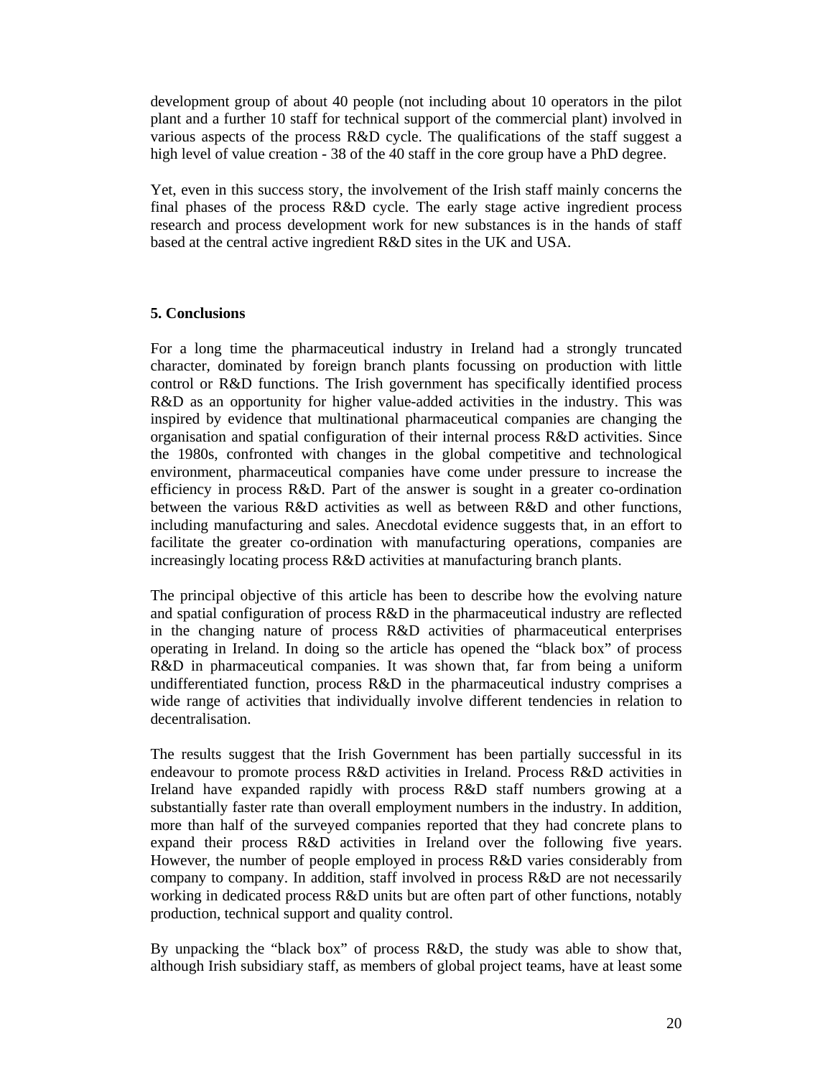development group of about 40 people (not including about 10 operators in the pilot plant and a further 10 staff for technical support of the commercial plant) involved in various aspects of the process R&D cycle. The qualifications of the staff suggest a high level of value creation - 38 of the 40 staff in the core group have a PhD degree.

Yet, even in this success story, the involvement of the Irish staff mainly concerns the final phases of the process R&D cycle. The early stage active ingredient process research and process development work for new substances is in the hands of staff based at the central active ingredient R&D sites in the UK and USA.

## **5. Conclusions**

For a long time the pharmaceutical industry in Ireland had a strongly truncated character, dominated by foreign branch plants focussing on production with little control or R&D functions. The Irish government has specifically identified process R&D as an opportunity for higher value-added activities in the industry. This was inspired by evidence that multinational pharmaceutical companies are changing the organisation and spatial configuration of their internal process R&D activities. Since the 1980s, confronted with changes in the global competitive and technological environment, pharmaceutical companies have come under pressure to increase the efficiency in process R&D. Part of the answer is sought in a greater co-ordination between the various R&D activities as well as between R&D and other functions, including manufacturing and sales. Anecdotal evidence suggests that, in an effort to facilitate the greater co-ordination with manufacturing operations, companies are increasingly locating process R&D activities at manufacturing branch plants.

The principal objective of this article has been to describe how the evolving nature and spatial configuration of process R&D in the pharmaceutical industry are reflected in the changing nature of process R&D activities of pharmaceutical enterprises operating in Ireland. In doing so the article has opened the "black box" of process R&D in pharmaceutical companies. It was shown that, far from being a uniform undifferentiated function, process R&D in the pharmaceutical industry comprises a wide range of activities that individually involve different tendencies in relation to decentralisation.

The results suggest that the Irish Government has been partially successful in its endeavour to promote process R&D activities in Ireland. Process R&D activities in Ireland have expanded rapidly with process R&D staff numbers growing at a substantially faster rate than overall employment numbers in the industry. In addition, more than half of the surveyed companies reported that they had concrete plans to expand their process R&D activities in Ireland over the following five years. However, the number of people employed in process R&D varies considerably from company to company. In addition, staff involved in process R&D are not necessarily working in dedicated process R&D units but are often part of other functions, notably production, technical support and quality control.

By unpacking the "black box" of process R&D, the study was able to show that, although Irish subsidiary staff, as members of global project teams, have at least some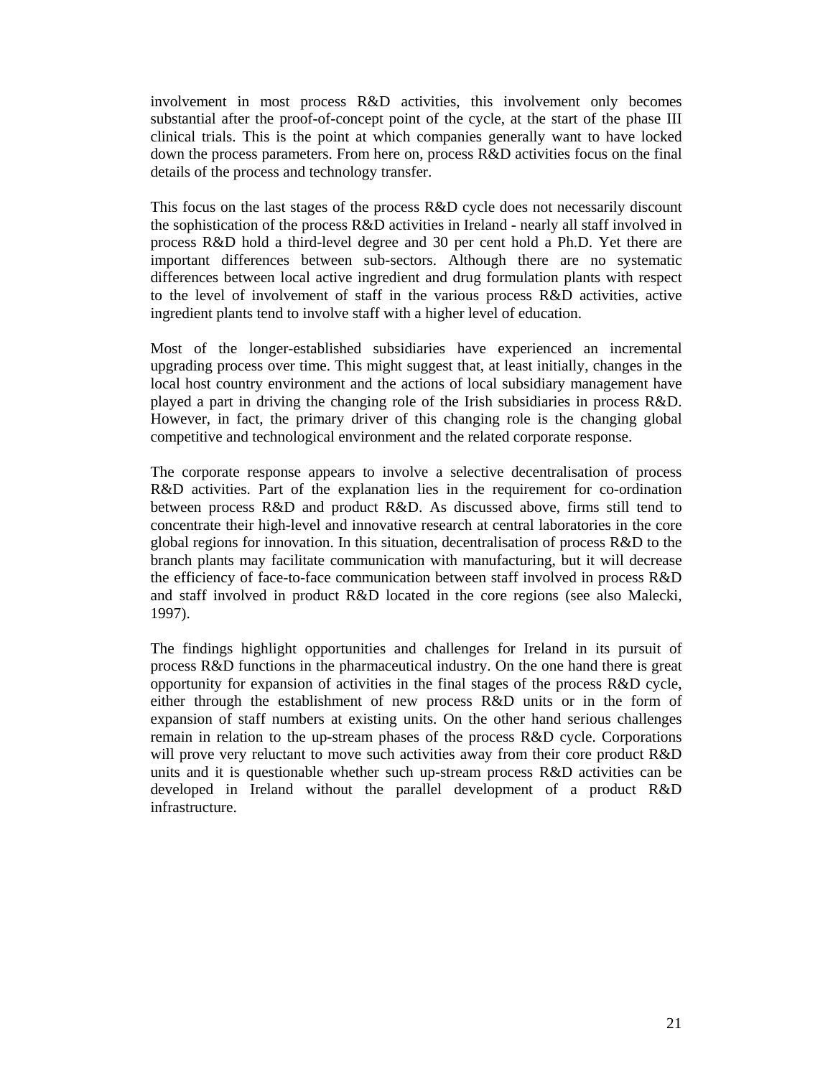involvement in most process R&D activities, this involvement only becomes substantial after the proof-of-concept point of the cycle, at the start of the phase III clinical trials. This is the point at which companies generally want to have locked down the process parameters. From here on, process R&D activities focus on the final details of the process and technology transfer.

This focus on the last stages of the process R&D cycle does not necessarily discount the sophistication of the process R&D activities in Ireland - nearly all staff involved in process R&D hold a third-level degree and 30 per cent hold a Ph.D. Yet there are important differences between sub-sectors. Although there are no systematic differences between local active ingredient and drug formulation plants with respect to the level of involvement of staff in the various process R&D activities, active ingredient plants tend to involve staff with a higher level of education.

Most of the longer-established subsidiaries have experienced an incremental upgrading process over time. This might suggest that, at least initially, changes in the local host country environment and the actions of local subsidiary management have played a part in driving the changing role of the Irish subsidiaries in process R&D. However, in fact, the primary driver of this changing role is the changing global competitive and technological environment and the related corporate response.

The corporate response appears to involve a selective decentralisation of process R&D activities. Part of the explanation lies in the requirement for co-ordination between process R&D and product R&D. As discussed above, firms still tend to concentrate their high-level and innovative research at central laboratories in the core global regions for innovation. In this situation, decentralisation of process R&D to the branch plants may facilitate communication with manufacturing, but it will decrease the efficiency of face-to-face communication between staff involved in process R&D and staff involved in product R&D located in the core regions (see also Malecki, 1997).

The findings highlight opportunities and challenges for Ireland in its pursuit of process R&D functions in the pharmaceutical industry. On the one hand there is great opportunity for expansion of activities in the final stages of the process R&D cycle, either through the establishment of new process R&D units or in the form of expansion of staff numbers at existing units. On the other hand serious challenges remain in relation to the up-stream phases of the process R&D cycle. Corporations will prove very reluctant to move such activities away from their core product R&D units and it is questionable whether such up-stream process R&D activities can be developed in Ireland without the parallel development of a product R&D infrastructure.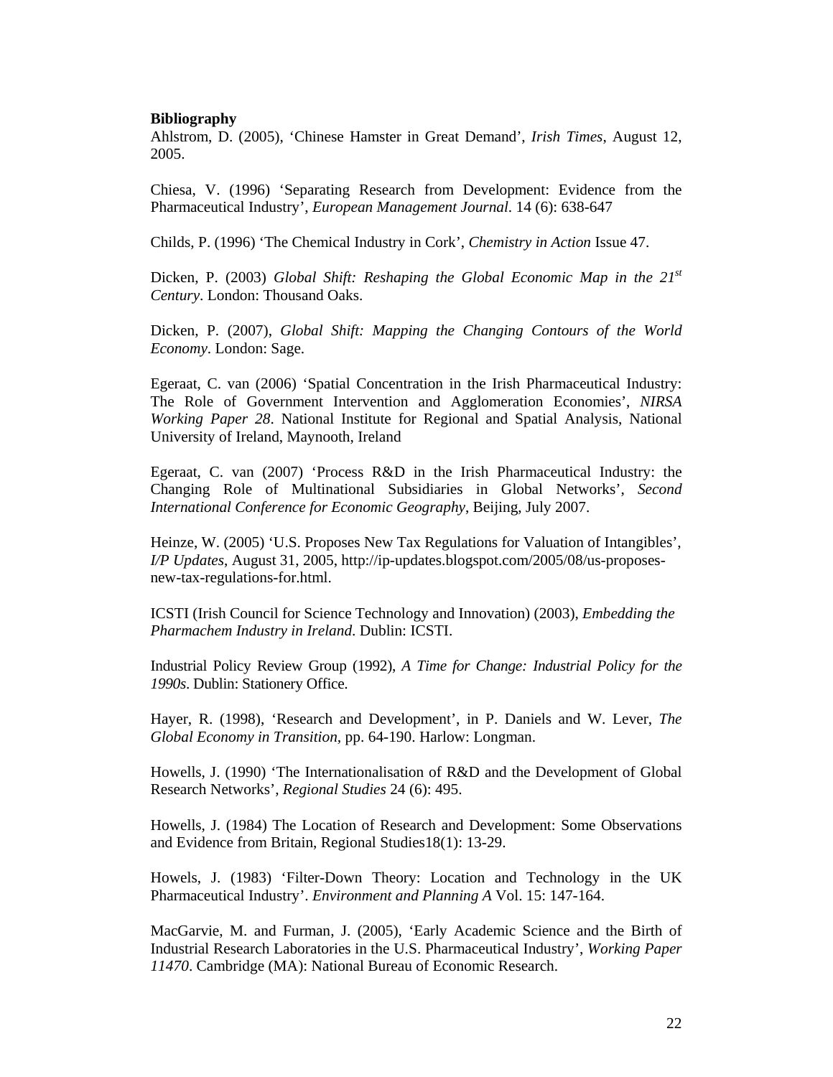#### **Bibliography**

Ahlstrom, D. (2005), 'Chinese Hamster in Great Demand', *Irish Times*, August 12, 2005.

Chiesa, V. (1996) 'Separating Research from Development: Evidence from the Pharmaceutical Industry', *European Management Journal*. 14 (6): 638-647

Childs, P. (1996) 'The Chemical Industry in Cork', *Chemistry in Action* Issue 47.

Dicken, P. (2003) *Global Shift: Reshaping the Global Economic Map in the 21st Century*. London: Thousand Oaks.

Dicken, P. (2007), *Global Shift: Mapping the Changing Contours of the World Economy*. London: Sage.

Egeraat, C. van (2006) 'Spatial Concentration in the Irish Pharmaceutical Industry: The Role of Government Intervention and Agglomeration Economies', *NIRSA Working Paper 28*. National Institute for Regional and Spatial Analysis, National University of Ireland, Maynooth, Ireland

Egeraat, C. van (2007) 'Process R&D in the Irish Pharmaceutical Industry: the Changing Role of Multinational Subsidiaries in Global Networks', *Second International Conference for Economic Geography*, Beijing, July 2007.

Heinze, W. (2005) 'U.S. Proposes New Tax Regulations for Valuation of Intangibles', *I/P Updates*, August 31, 2005, http://ip-updates.blogspot.com/2005/08/us-proposesnew-tax-regulations-for.html.

ICSTI (Irish Council for Science Technology and Innovation) (2003), *Embedding the Pharmachem Industry in Ireland*. Dublin: ICSTI.

Industrial Policy Review Group (1992), *A Time for Change: Industrial Policy for the 1990s*. Dublin: Stationery Office.

Hayer, R. (1998), 'Research and Development', in P. Daniels and W. Lever, *The Global Economy in Transition,* pp. 64-190. Harlow: Longman.

Howells, J. (1990) 'The Internationalisation of R&D and the Development of Global Research Networks', *Regional Studies* 24 (6): 495.

Howells, J. (1984) The Location of Research and Development: Some Observations and Evidence from Britain, Regional Studies18(1): 13-29.

Howels, J. (1983) 'Filter-Down Theory: Location and Technology in the UK Pharmaceutical Industry'. *Environment and Planning A* Vol. 15: 147-164.

MacGarvie, M. and Furman, J. (2005), 'Early Academic Science and the Birth of Industrial Research Laboratories in the U.S. Pharmaceutical Industry', *Working Paper 11470*. Cambridge (MA): National Bureau of Economic Research.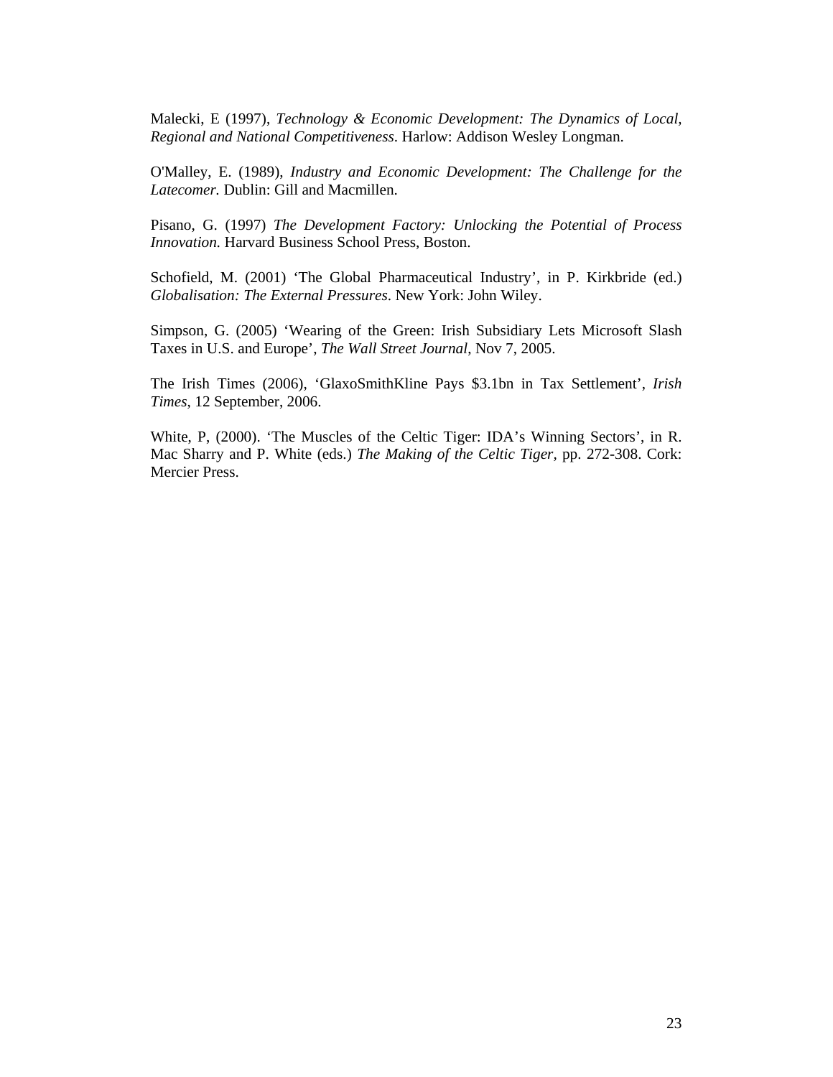Malecki, E (1997), *Technology & Economic Development: The Dynamics of Local, Regional and National Competitiveness*. Harlow: Addison Wesley Longman.

O'Malley, E. (1989), *Industry and Economic Development: The Challenge for the Latecomer.* Dublin: Gill and Macmillen.

Pisano, G. (1997) *The Development Factory: Unlocking the Potential of Process Innovation.* Harvard Business School Press, Boston.

Schofield, M. (2001) 'The Global Pharmaceutical Industry', in P. Kirkbride (ed.) *Globalisation: The External Pressures*. New York: John Wiley.

Simpson, G. (2005) 'Wearing of the Green: Irish Subsidiary Lets Microsoft Slash Taxes in U.S. and Europe', *The Wall Street Journal*, Nov 7, 2005.

The Irish Times (2006), 'GlaxoSmithKline Pays \$3.1bn in Tax Settlement', *Irish Times*, 12 September, 2006.

White, P, (2000). 'The Muscles of the Celtic Tiger: IDA's Winning Sectors', in R. Mac Sharry and P. White (eds.) *The Making of the Celtic Tiger,* pp. 272-308. Cork: Mercier Press.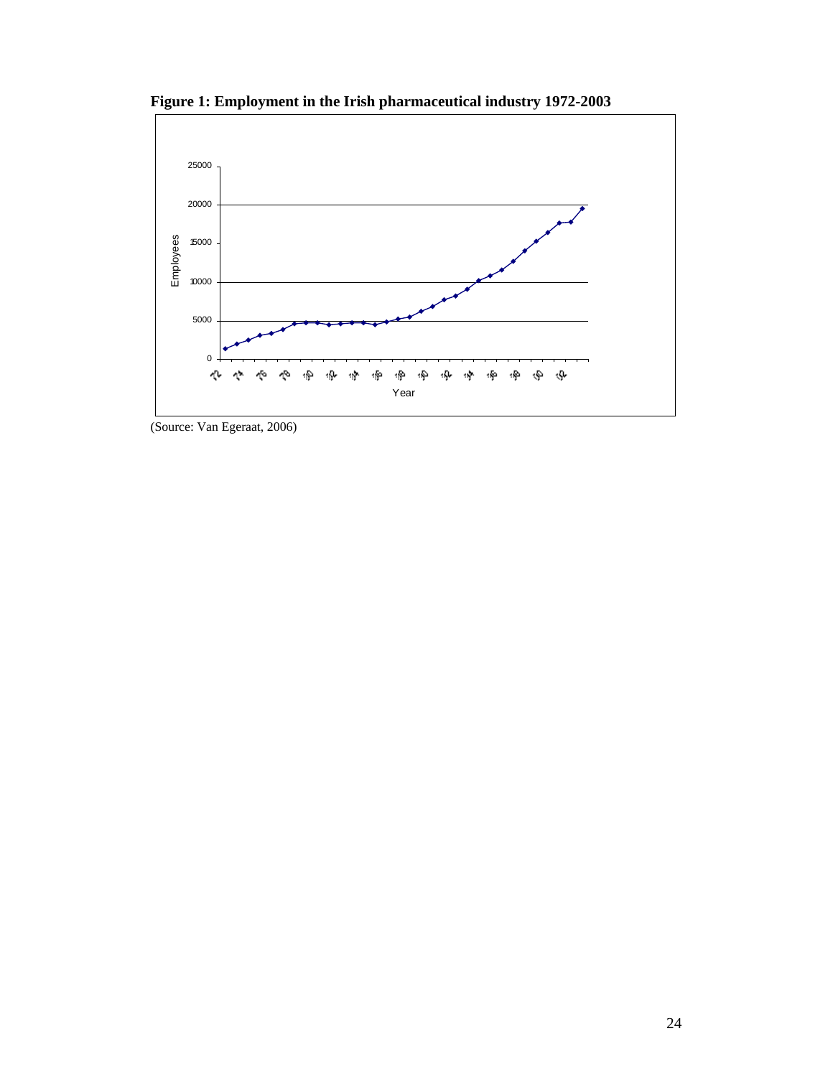

**Figure 1: Employment in the Irish pharmaceutical industry 1972-2003** 

(Source: Van Egeraat, 2006)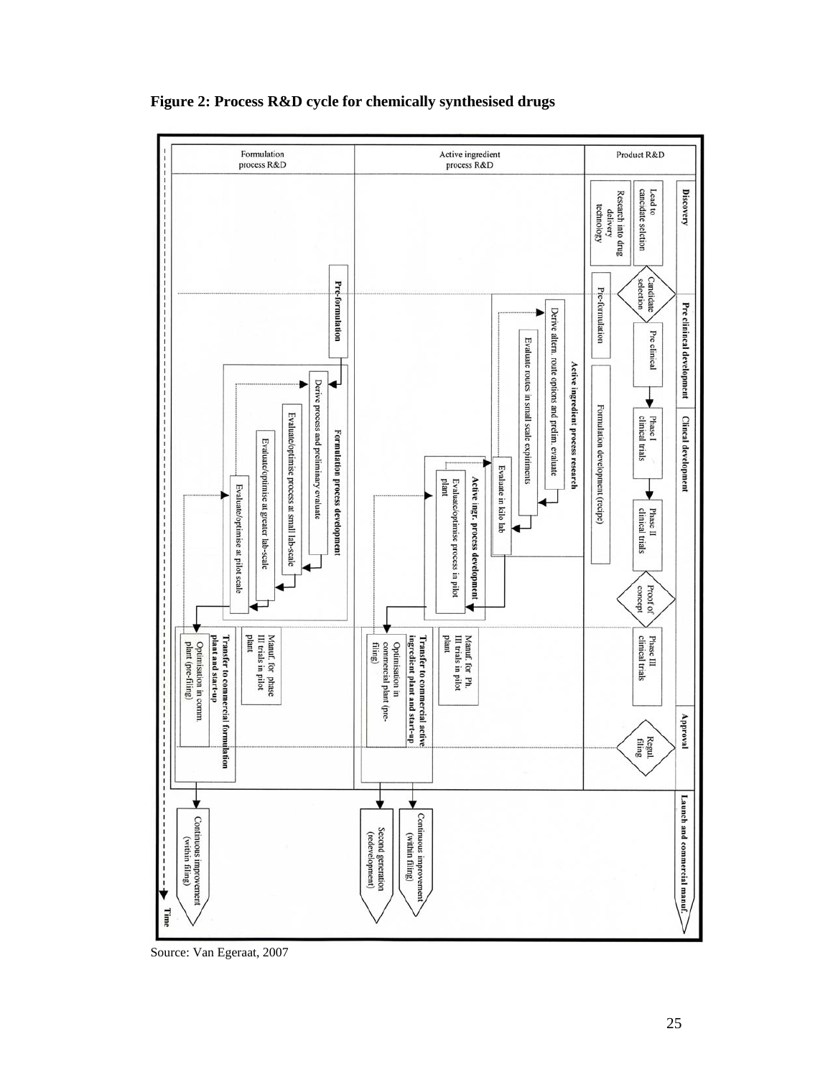

**Figure 2: Process R&D cycle for chemically synthesised drugs** 

Source: Van Egeraat, 2007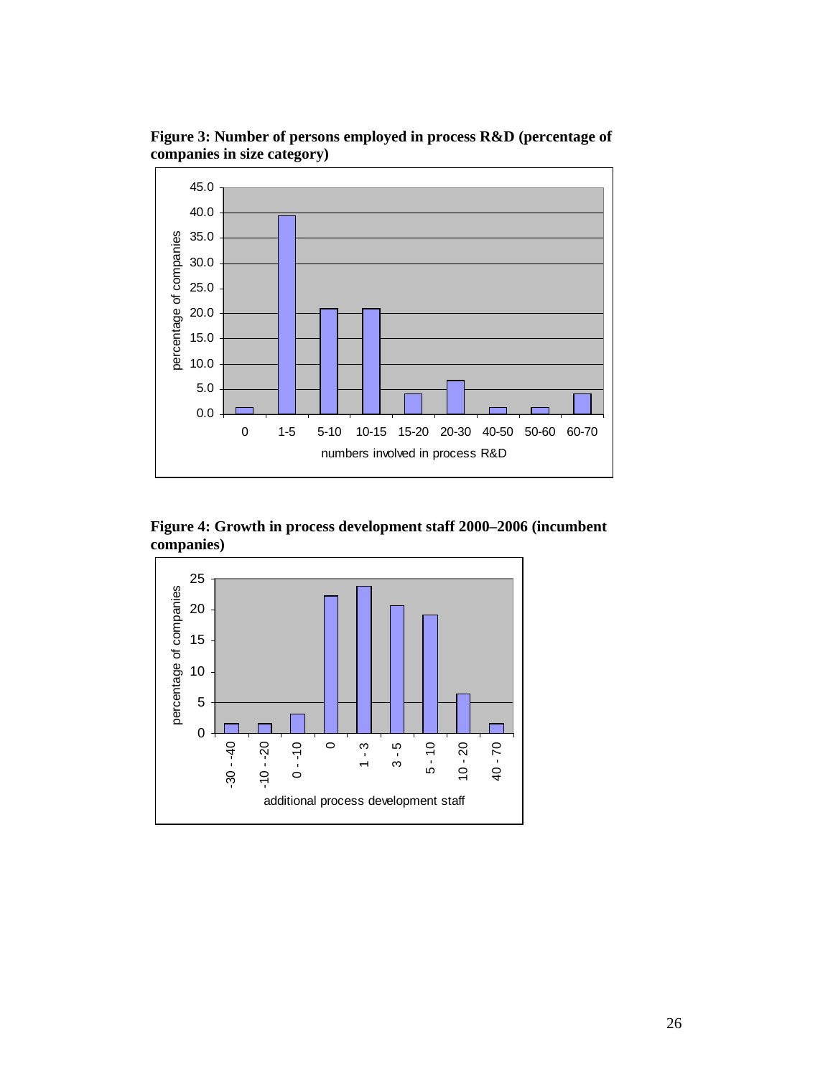

**Figure 3: Number of persons employed in process R&D (percentage of companies in size category)** 

**Figure 4: Growth in process development staff 2000–2006 (incumbent companies)** 

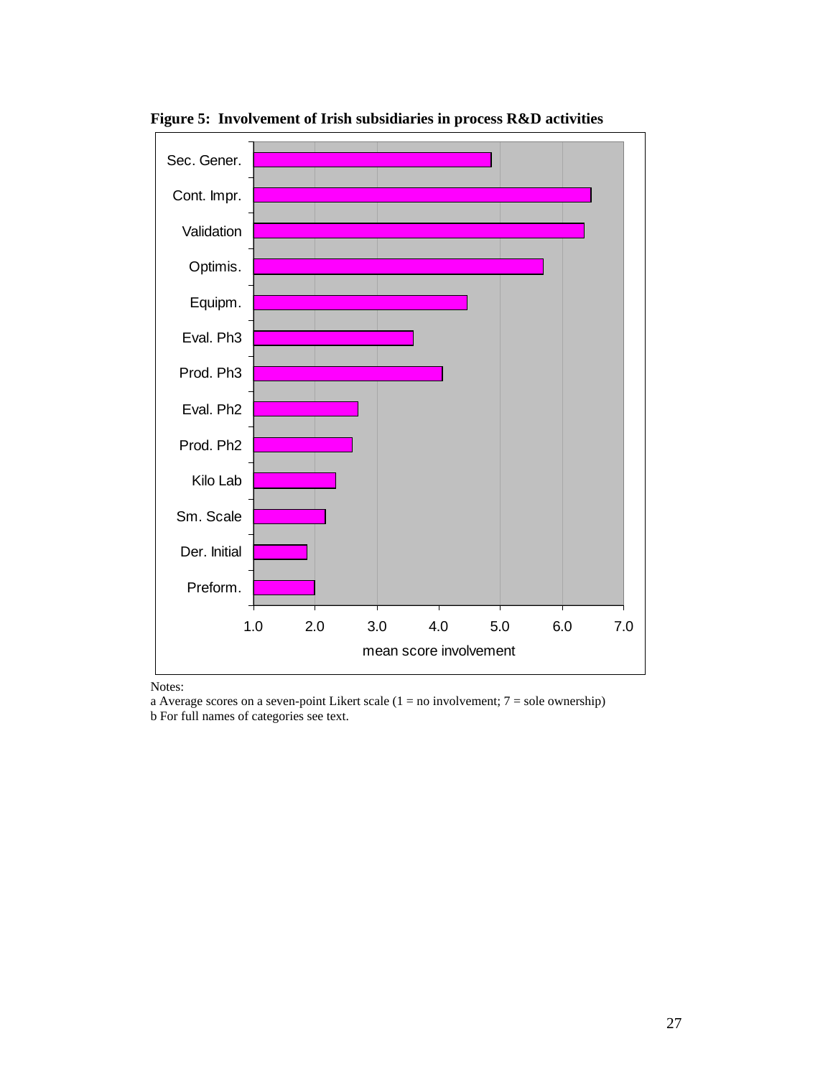

**Figure 5: Involvement of Irish subsidiaries in process R&D activities** 

Notes:

a Average scores on a seven-point Likert scale  $(1 = no involvement; 7 = sole ownership)$ b For full names of categories see text.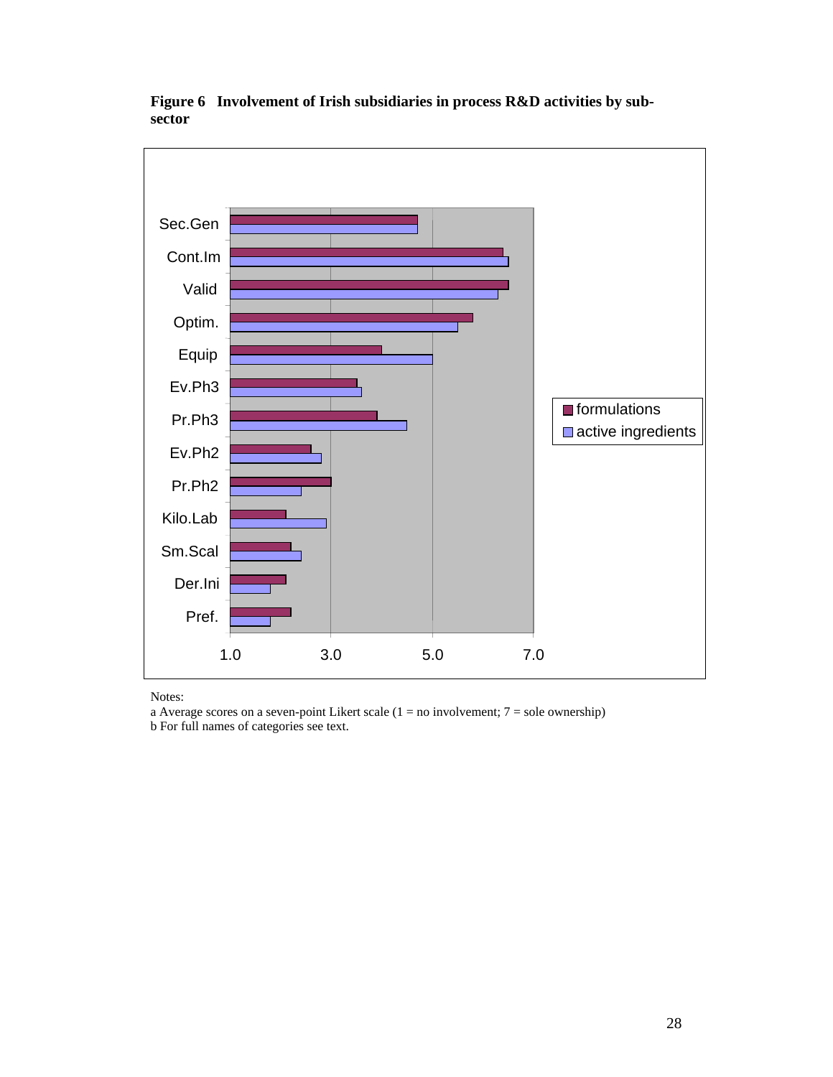

**Figure 6 Involvement of Irish subsidiaries in process R&D activities by subsector** 

Notes:

a Average scores on a seven-point Likert scale  $(1 = no$  involvement;  $7 = sole$  ownership) b For full names of categories see text.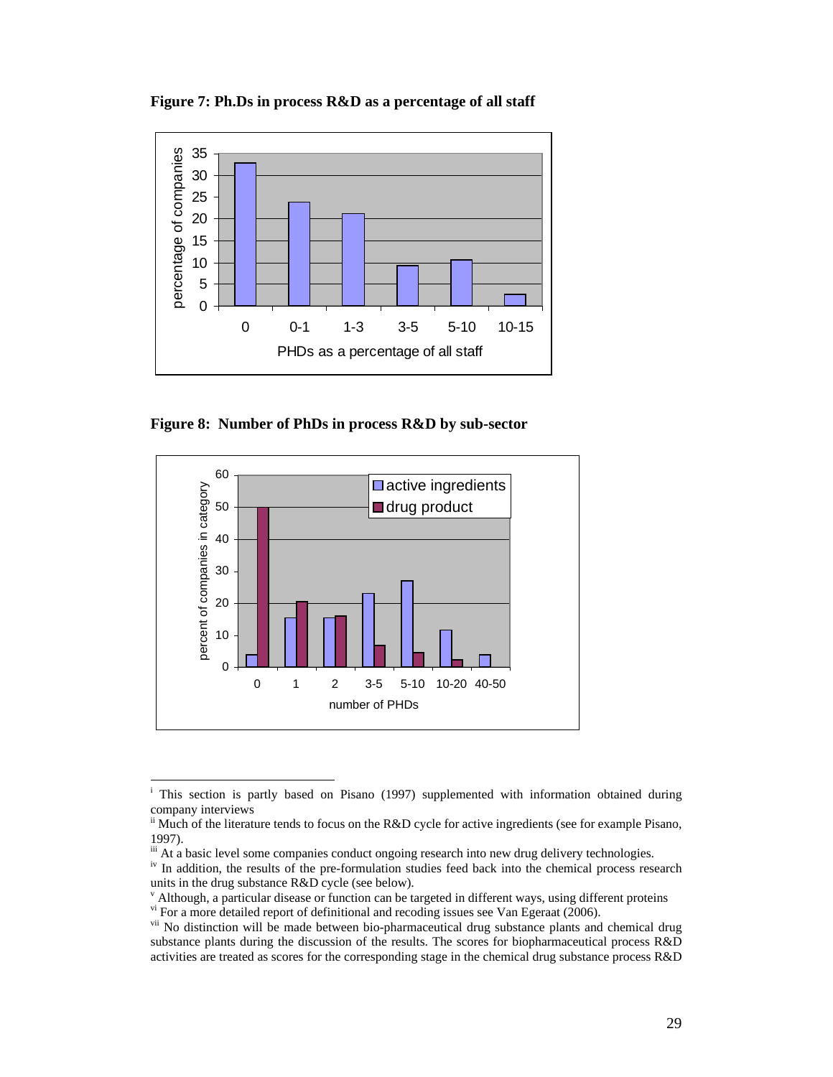**Figure 7: Ph.Ds in process R&D as a percentage of all staff** 



**Figure 8: Number of PhDs in process R&D by sub-sector** 



 i This section is partly based on Pisano (1997) supplemented with information obtained during company interviews

<sup>&</sup>lt;sup>ii</sup> Much of the literature tends to focus on the R&D cycle for active ingredients (see for example Pisano, 1997).

iii At a basic level some companies conduct ongoing research into new drug delivery technologies.

iv In addition, the results of the pre-formulation studies feed back into the chemical process research units in the drug substance R&D cycle (see below).

<sup>&</sup>lt;sup>v</sup> Although, a particular disease or function can be targeted in different ways, using different proteins Although, a particular disease or function can be targeted in different way of the targeted in different proteins via For a more detailed report of definitional and recoding issues see Van Egeraat (2006).

vii No distinction will be made between bio-pharmaceutical drug substance plants and chemical drug substance plants during the discussion of the results. The scores for biopharmaceutical process R&D activities are treated as scores for the corresponding stage in the chemical drug substance process R&D